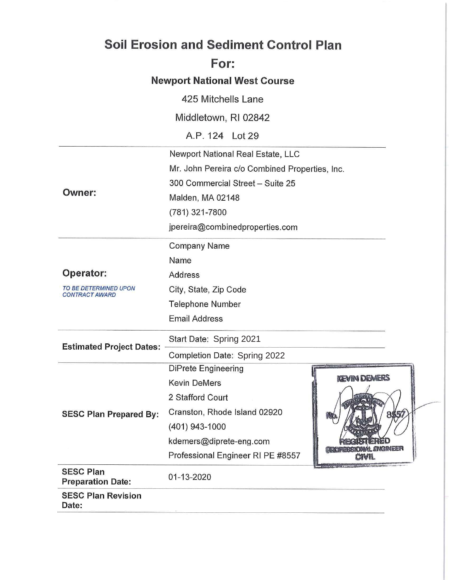|                                                            | <b>Soil Erosion and Sediment Control Plan</b>  |                     |  |
|------------------------------------------------------------|------------------------------------------------|---------------------|--|
|                                                            | For:                                           |                     |  |
|                                                            | <b>Newport National West Course</b>            |                     |  |
|                                                            | 425 Mitchells Lane                             |                     |  |
|                                                            | Middletown, RI 02842                           |                     |  |
|                                                            | A.P. 124 Lot 29                                |                     |  |
|                                                            | Newport National Real Estate, LLC              |                     |  |
|                                                            | Mr. John Pereira c/o Combined Properties, Inc. |                     |  |
|                                                            | 300 Commercial Street - Suite 25               |                     |  |
| <b>Owner:</b>                                              | Malden, MA 02148                               |                     |  |
|                                                            | (781) 321-7800                                 |                     |  |
|                                                            | jpereira@combinedproperties.com                |                     |  |
|                                                            |                                                |                     |  |
|                                                            | <b>Company Name</b><br>Name                    |                     |  |
| <b>Operator:</b>                                           |                                                |                     |  |
| TO BE DETERMINED UPON                                      | <b>Address</b>                                 |                     |  |
| <b>CONTRACT AWARD</b>                                      | City, State, Zip Code                          |                     |  |
|                                                            | <b>Telephone Number</b>                        |                     |  |
|                                                            | <b>Email Address</b>                           |                     |  |
| Start Date: Spring 2021<br><b>Estimated Project Dates:</b> |                                                |                     |  |
|                                                            | Completion Date: Spring 2022                   |                     |  |
|                                                            | <b>DiPrete Engineering</b>                     | <b>KEVIN DEMERS</b> |  |
|                                                            | <b>Kevin DeMers</b>                            |                     |  |
|                                                            | 2 Stafford Court                               |                     |  |
| <b>SESC Plan Prepared By:</b>                              | Cranston, Rhode Island 02920                   |                     |  |
|                                                            | (401) 943-1000                                 |                     |  |
|                                                            | kdemers@diprete-eng.com                        | RIOGIAI, ENGINEER   |  |
|                                                            | Professional Engineer RI PE #8557              | CIVIL               |  |
| <b>SESC Plan</b><br><b>Preparation Date:</b>               | 01-13-2020                                     |                     |  |
| <b>SESC Plan Revision</b><br>Date:                         |                                                |                     |  |
|                                                            |                                                |                     |  |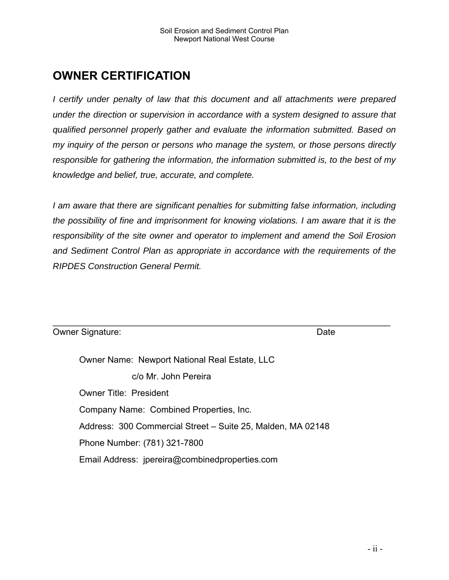# **OWNER CERTIFICATION**

*I certify under penalty of law that this document and all attachments were prepared under the direction or supervision in accordance with a system designed to assure that qualified personnel properly gather and evaluate the information submitted. Based on my inquiry of the person or persons who manage the system, or those persons directly responsible for gathering the information, the information submitted is, to the best of my knowledge and belief, true, accurate, and complete.* 

*I am aware that there are significant penalties for submitting false information, including the possibility of fine and imprisonment for knowing violations. I am aware that it is the responsibility of the site owner and operator to implement and amend the Soil Erosion and Sediment Control Plan as appropriate in accordance with the requirements of the RIPDES Construction General Permit.* 

 $\mathcal{L}_\mathcal{L} = \mathcal{L}_\mathcal{L} = \mathcal{L}_\mathcal{L} = \mathcal{L}_\mathcal{L} = \mathcal{L}_\mathcal{L} = \mathcal{L}_\mathcal{L} = \mathcal{L}_\mathcal{L} = \mathcal{L}_\mathcal{L} = \mathcal{L}_\mathcal{L} = \mathcal{L}_\mathcal{L} = \mathcal{L}_\mathcal{L} = \mathcal{L}_\mathcal{L} = \mathcal{L}_\mathcal{L} = \mathcal{L}_\mathcal{L} = \mathcal{L}_\mathcal{L} = \mathcal{L}_\mathcal{L} = \mathcal{L}_\mathcal{L}$ 

Owner Signature: Date Communication of the Date Communication of the Date Communication of the Date Communication of the Date Communication of the Date Communication of the Date Communication of the Date Communication of t

Owner Name: Newport National Real Estate, LLC c/o Mr. John Pereira Owner Title: President Company Name: Combined Properties, Inc. Address: 300 Commercial Street – Suite 25, Malden, MA 02148 Phone Number: (781) 321-7800 Email Address: jpereira@combinedproperties.com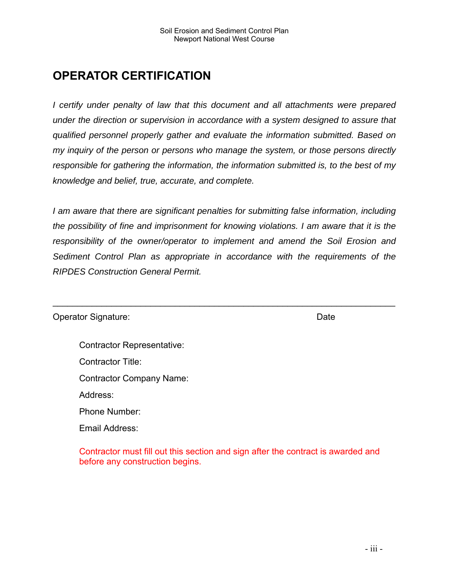# **OPERATOR CERTIFICATION**

*I certify under penalty of law that this document and all attachments were prepared under the direction or supervision in accordance with a system designed to assure that qualified personnel properly gather and evaluate the information submitted. Based on my inquiry of the person or persons who manage the system, or those persons directly responsible for gathering the information, the information submitted is, to the best of my knowledge and belief, true, accurate, and complete.* 

*I am aware that there are significant penalties for submitting false information, including the possibility of fine and imprisonment for knowing violations. I am aware that it is the responsibility of the owner/operator to implement and amend the Soil Erosion and Sediment Control Plan as appropriate in accordance with the requirements of the RIPDES Construction General Permit.* 

 $\mathcal{L}_\mathcal{L} = \{ \mathcal{L}_\mathcal{L} = \{ \mathcal{L}_\mathcal{L} = \{ \mathcal{L}_\mathcal{L} = \{ \mathcal{L}_\mathcal{L} = \{ \mathcal{L}_\mathcal{L} = \{ \mathcal{L}_\mathcal{L} = \{ \mathcal{L}_\mathcal{L} = \{ \mathcal{L}_\mathcal{L} = \{ \mathcal{L}_\mathcal{L} = \{ \mathcal{L}_\mathcal{L} = \{ \mathcal{L}_\mathcal{L} = \{ \mathcal{L}_\mathcal{L} = \{ \mathcal{L}_\mathcal{L} = \{ \mathcal{L}_\mathcal{$ 

| <b>Operator Signature:</b> | Date |
|----------------------------|------|
|----------------------------|------|

- Contractor Representative:
- Contractor Title:
- Contractor Company Name:
- Address:
- Phone Number:
- Email Address:

Contractor must fill out this section and sign after the contract is awarded and before any construction begins.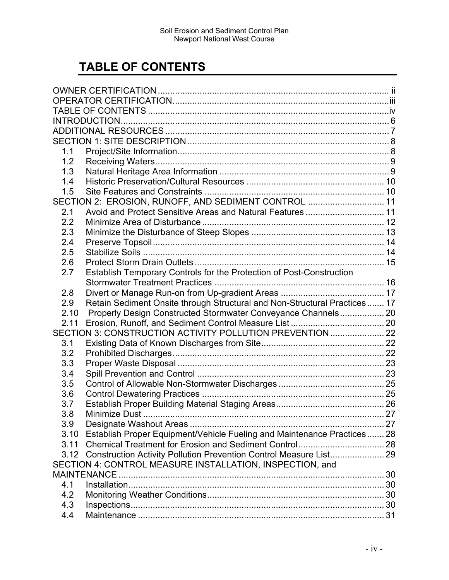# **TABLE OF CONTENTS**

| 1.1  |                                                                           |  |
|------|---------------------------------------------------------------------------|--|
| 1.2  |                                                                           |  |
| 1.3  |                                                                           |  |
| 1.4  |                                                                           |  |
| 1.5  |                                                                           |  |
|      | SECTION 2: EROSION, RUNOFF, AND SEDIMENT CONTROL  11                      |  |
| 2.1  | Avoid and Protect Sensitive Areas and Natural Features  11                |  |
| 2.2  |                                                                           |  |
| 2.3  |                                                                           |  |
| 2.4  |                                                                           |  |
| 2.5  |                                                                           |  |
| 2.6  |                                                                           |  |
| 2.7  | Establish Temporary Controls for the Protection of Post-Construction      |  |
|      |                                                                           |  |
| 2.8  |                                                                           |  |
| 2.9  | Retain Sediment Onsite through Structural and Non-Structural Practices 17 |  |
| 2.10 | Properly Design Constructed Stormwater Conveyance Channels 20             |  |
| 2.11 |                                                                           |  |
|      | SECTION 3: CONSTRUCTION ACTIVITY POLLUTION PREVENTION 22                  |  |
| 3.1  |                                                                           |  |
| 3.2  |                                                                           |  |
|      |                                                                           |  |
| 3.3  |                                                                           |  |
| 3.4  |                                                                           |  |
| 3.5  |                                                                           |  |
| 3.6  |                                                                           |  |
| 3.7  |                                                                           |  |
| 3.8  |                                                                           |  |
| 3.9  |                                                                           |  |
| 3.10 | Establish Proper Equipment/Vehicle Fueling and Maintenance Practices 28   |  |
| 3.11 |                                                                           |  |
|      | 3.12 Construction Activity Pollution Prevention Control Measure List 29   |  |
|      | SECTION 4: CONTROL MEASURE INSTALLATION, INSPECTION, and                  |  |
|      | MAINTENANCE                                                               |  |
| 4.1  |                                                                           |  |
| 4.2  |                                                                           |  |
| 4.3  |                                                                           |  |
| 4.4  |                                                                           |  |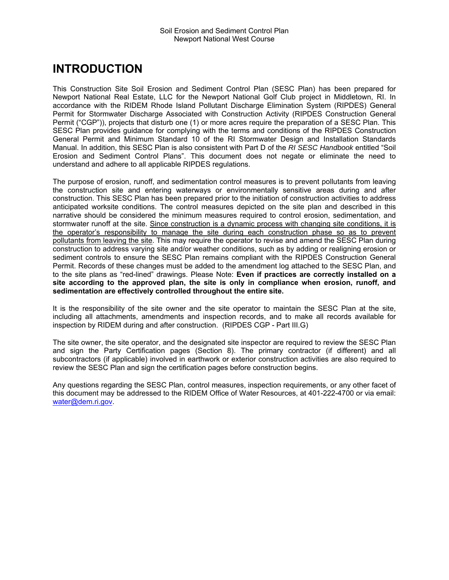# **INTRODUCTION**

This Construction Site Soil Erosion and Sediment Control Plan (SESC Plan) has been prepared for Newport National Real Estate, LLC for the Newport National Golf Club project in Middletown, RI. In accordance with the RIDEM Rhode Island Pollutant Discharge Elimination System (RIPDES) General Permit for Stormwater Discharge Associated with Construction Activity (RIPDES Construction General Permit ("CGP")), projects that disturb one (1) or more acres require the preparation of a SESC Plan. This SESC Plan provides guidance for complying with the terms and conditions of the RIPDES Construction General Permit and Minimum Standard 10 of the RI Stormwater Design and Installation Standards Manual. In addition, this SESC Plan is also consistent with Part D of the *RI SESC Handbook* entitled "Soil Erosion and Sediment Control Plans". This document does not negate or eliminate the need to understand and adhere to all applicable RIPDES regulations.

The purpose of erosion, runoff, and sedimentation control measures is to prevent pollutants from leaving the construction site and entering waterways or environmentally sensitive areas during and after construction. This SESC Plan has been prepared prior to the initiation of construction activities to address anticipated worksite conditions. The control measures depicted on the site plan and described in this narrative should be considered the minimum measures required to control erosion, sedimentation, and stormwater runoff at the site. Since construction is a dynamic process with changing site conditions, it is the operator's responsibility to manage the site during each construction phase so as to prevent pollutants from leaving the site. This may require the operator to revise and amend the SESC Plan during construction to address varying site and/or weather conditions, such as by adding or realigning erosion or sediment controls to ensure the SESC Plan remains compliant with the RIPDES Construction General Permit. Records of these changes must be added to the amendment log attached to the SESC Plan, and to the site plans as "red-lined" drawings. Please Note: **Even if practices are correctly installed on a site according to the approved plan, the site is only in compliance when erosion, runoff, and sedimentation are effectively controlled throughout the entire site.** 

It is the responsibility of the site owner and the site operator to maintain the SESC Plan at the site, including all attachments, amendments and inspection records, and to make all records available for inspection by RIDEM during and after construction. (RIPDES CGP - Part III.G)

The site owner, the site operator, and the designated site inspector are required to review the SESC Plan and sign the Party Certification pages (Section 8). The primary contractor (if different) and all subcontractors (if applicable) involved in earthwork or exterior construction activities are also required to review the SESC Plan and sign the certification pages before construction begins.

Any questions regarding the SESC Plan, control measures, inspection requirements, or any other facet of this document may be addressed to the RIDEM Office of Water Resources, at 401-222-4700 or via email: water@dem.ri.gov.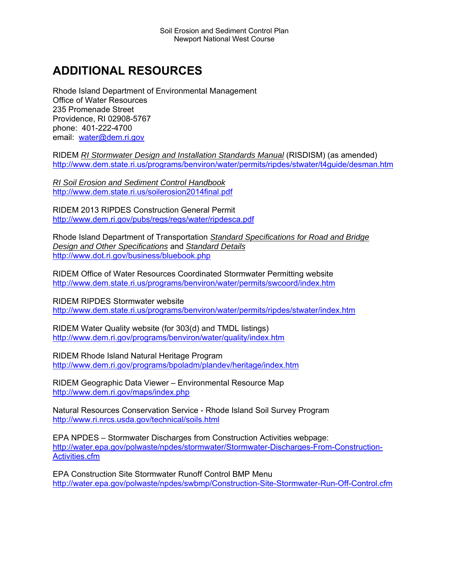# **ADDITIONAL RESOURCES**

Rhode Island Department of Environmental Management Office of Water Resources 235 Promenade Street Providence, RI 02908-5767 phone: 401-222-4700 email: water@dem.ri.gov

RIDEM *RI Stormwater Design and Installation Standards Manual* (RISDISM) (as amended) http://www.dem.state.ri.us/programs/benviron/water/permits/ripdes/stwater/t4guide/desman.htm

*RI Soil Erosion and Sediment Control Handbook* http://www.dem.state.ri.us/soilerosion2014final.pdf

RIDEM 2013 RIPDES Construction General Permit http://www.dem.ri.gov/pubs/regs/regs/water/ripdesca.pdf

Rhode Island Department of Transportation *Standard Specifications for Road and Bridge Design and Other Specifications* and *Standard Details* http://www.dot.ri.gov/business/bluebook.php

RIDEM Office of Water Resources Coordinated Stormwater Permitting website http://www.dem.state.ri.us/programs/benviron/water/permits/swcoord/index.htm

RIDEM RIPDES Stormwater website http://www.dem.state.ri.us/programs/benviron/water/permits/ripdes/stwater/index.htm

RIDEM Water Quality website (for 303(d) and TMDL listings) http://www.dem.ri.gov/programs/benviron/water/quality/index.htm

RIDEM Rhode Island Natural Heritage Program http://www.dem.ri.gov/programs/bpoladm/plandev/heritage/index.htm

RIDEM Geographic Data Viewer – Environmental Resource Map http://www.dem.ri.gov/maps/index.php

Natural Resources Conservation Service - Rhode Island Soil Survey Program http://www.ri.nrcs.usda.gov/technical/soils.html

EPA NPDES – Stormwater Discharges from Construction Activities webpage: http://water.epa.gov/polwaste/npdes/stormwater/Stormwater-Discharges-From-Construction-Activities.cfm

EPA Construction Site Stormwater Runoff Control BMP Menu http://water.epa.gov/polwaste/npdes/swbmp/Construction-Site-Stormwater-Run-Off-Control.cfm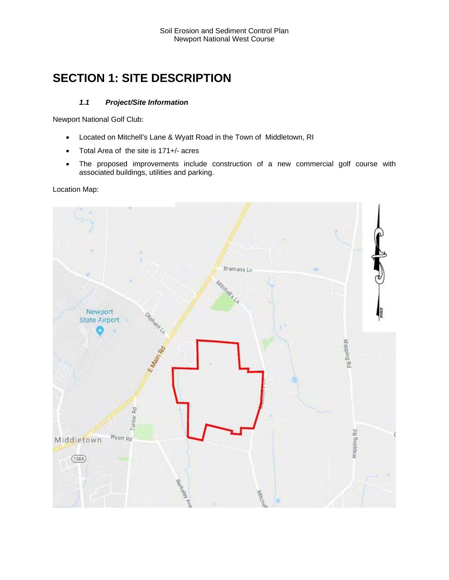# **SECTION 1: SITE DESCRIPTION**

# *1.1 Project/Site Information*

Newport National Golf Club:

- Located on Mitchell's Lane & Wyatt Road in the Town of Middletown, RI
- Total Area of the site is 171+/- acres
- The proposed improvements include construction of a new commercial golf course with associated buildings, utilities and parking.

Location Map:

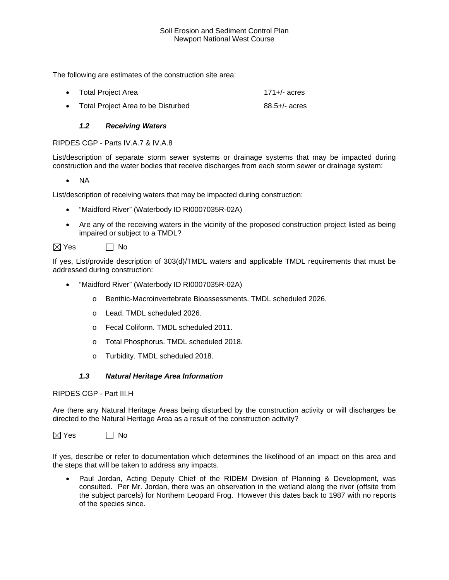The following are estimates of the construction site area:

Total Project Area 171+/- acres • Total Project Area to be Disturbed 88.5+/- acres

# *1.2 Receiving Waters*

RIPDES CGP - Parts IV.A.7 & IV.A.8

List/description of separate storm sewer systems or drainage systems that may be impacted during construction and the water bodies that receive discharges from each storm sewer or drainage system:

 $\bullet$  NA

List/description of receiving waters that may be impacted during construction:

- "Maidford River" (Waterbody ID RI0007035R-02A)
- Are any of the receiving waters in the vicinity of the proposed construction project listed as being impaired or subject to a TMDL?

 $\boxtimes$  Yes  $\Box$  No

If yes, List/provide description of 303(d)/TMDL waters and applicable TMDL requirements that must be addressed during construction:

- "Maidford River" (Waterbody ID RI0007035R-02A)
	- o Benthic-Macroinvertebrate Bioassessments. TMDL scheduled 2026.
	- o Lead. TMDL scheduled 2026.
	- o Fecal Coliform. TMDL scheduled 2011.
	- o Total Phosphorus. TMDL scheduled 2018.
	- o Turbidity. TMDL scheduled 2018.

### *1.3 Natural Heritage Area Information*

RIPDES CGP - Part III.H

Are there any Natural Heritage Areas being disturbed by the construction activity or will discharges be directed to the Natural Heritage Area as a result of the construction activity?

 $\boxtimes$  Yes  $\qquad \Box$  No

If yes, describe or refer to documentation which determines the likelihood of an impact on this area and the steps that will be taken to address any impacts.

 Paul Jordan, Acting Deputy Chief of the RIDEM Division of Planning & Development, was consulted. Per Mr. Jordan, there was an observation in the wetland along the river (offsite from the subject parcels) for Northern Leopard Frog. However this dates back to 1987 with no reports of the species since.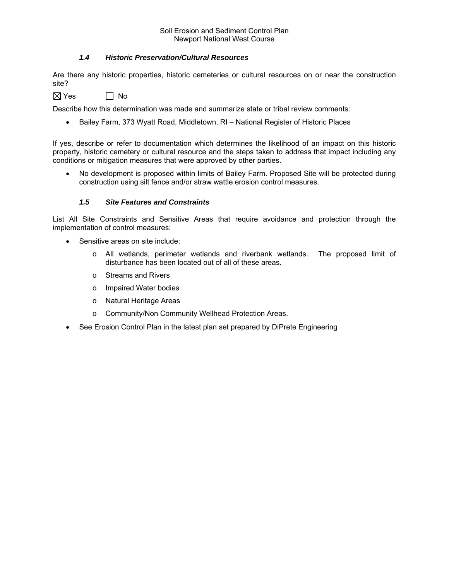# *1.4 Historic Preservation/Cultural Resources*

Are there any historic properties, historic cemeteries or cultural resources on or near the construction site?

 $\boxtimes$  Yes  $\Box$  No

Describe how this determination was made and summarize state or tribal review comments:

Bailey Farm, 373 Wyatt Road, Middletown, RI – National Register of Historic Places

If yes, describe or refer to documentation which determines the likelihood of an impact on this historic property, historic cemetery or cultural resource and the steps taken to address that impact including any conditions or mitigation measures that were approved by other parties.

 No development is proposed within limits of Bailey Farm. Proposed Site will be protected during construction using silt fence and/or straw wattle erosion control measures.

# *1.5 Site Features and Constraints*

List All Site Constraints and Sensitive Areas that require avoidance and protection through the implementation of control measures:

- Sensitive areas on site include:
	- o All wetlands, perimeter wetlands and riverbank wetlands. The proposed limit of disturbance has been located out of all of these areas.
	- o Streams and Rivers
	- o Impaired Water bodies
	- o Natural Heritage Areas
	- o Community/Non Community Wellhead Protection Areas.
- See Erosion Control Plan in the latest plan set prepared by DiPrete Engineering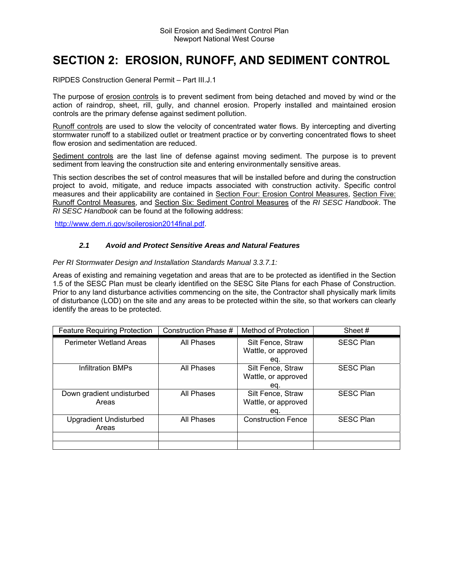# **SECTION 2: EROSION, RUNOFF, AND SEDIMENT CONTROL**

RIPDES Construction General Permit – Part III.J.1

The purpose of erosion controls is to prevent sediment from being detached and moved by wind or the action of raindrop, sheet, rill, gully, and channel erosion. Properly installed and maintained erosion controls are the primary defense against sediment pollution.

Runoff controls are used to slow the velocity of concentrated water flows. By intercepting and diverting stormwater runoff to a stabilized outlet or treatment practice or by converting concentrated flows to sheet flow erosion and sedimentation are reduced.

Sediment controls are the last line of defense against moving sediment. The purpose is to prevent sediment from leaving the construction site and entering environmentally sensitive areas.

This section describes the set of control measures that will be installed before and during the construction project to avoid, mitigate, and reduce impacts associated with construction activity. Specific control measures and their applicability are contained in Section Four: Erosion Control Measures, Section Five: Runoff Control Measures, and Section Six: Sediment Control Measures of the *RI SESC Handbook*. The *RI SESC Handbook* can be found at the following address:

http://www.dem.ri.gov/soilerosion2014final.pdf.

### *2.1 Avoid and Protect Sensitive Areas and Natural Features*

#### *Per RI Stormwater Design and Installation Standards Manual 3.3.7.1:*

Areas of existing and remaining vegetation and areas that are to be protected as identified in the Section 1.5 of the SESC Plan must be clearly identified on the SESC Site Plans for each Phase of Construction. Prior to any land disturbance activities commencing on the site, the Contractor shall physically mark limits of disturbance (LOD) on the site and any areas to be protected within the site, so that workers can clearly identify the areas to be protected.

| <b>Feature Requiring Protection</b> | Construction Phase # | Method of Protection      | Sheet #          |
|-------------------------------------|----------------------|---------------------------|------------------|
| <b>Perimeter Wetland Areas</b>      | All Phases           | Silt Fence, Straw         | <b>SESC Plan</b> |
|                                     |                      | Wattle, or approved       |                  |
|                                     |                      | eq.                       |                  |
| <b>Infiltration BMPs</b>            | All Phases           | Silt Fence, Straw         | <b>SESC Plan</b> |
|                                     |                      | Wattle, or approved       |                  |
|                                     |                      | eq.                       |                  |
| Down gradient undisturbed           | All Phases           | Silt Fence, Straw         | <b>SESC Plan</b> |
| Areas                               |                      | Wattle, or approved       |                  |
|                                     |                      | eq.                       |                  |
| <b>Upgradient Undisturbed</b>       | All Phases           | <b>Construction Fence</b> | <b>SESC Plan</b> |
| Areas                               |                      |                           |                  |
|                                     |                      |                           |                  |
|                                     |                      |                           |                  |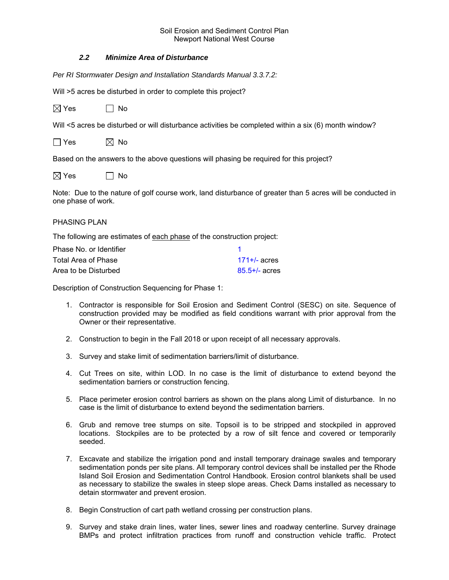# *2.2 Minimize Area of Disturbance*

*Per RI Stormwater Design and Installation Standards Manual 3.3.7.2:* 

Will >5 acres be disturbed in order to complete this project?

| $\boxtimes$ Yes | $\Box$ No |
|-----------------|-----------|
|-----------------|-----------|

Will <5 acres be disturbed or will disturbance activities be completed within a six (6) month window?

| l Yes | $\boxtimes$ No |  |
|-------|----------------|--|
|-------|----------------|--|

Based on the answers to the above questions will phasing be required for this project?

| $\boxtimes$ Yes | l   No |
|-----------------|--------|
|-----------------|--------|

Note: Due to the nature of golf course work, land disturbance of greater than 5 acres will be conducted in one phase of work.

### PHASING PLAN

The following are estimates of each phase of the construction project:

| Phase No. or Identifier |                    |
|-------------------------|--------------------|
| Total Area of Phase     | $171 + 4$ acres    |
| Area to be Disturbed    | $85.5 + / -$ acres |

Description of Construction Sequencing for Phase 1:

- 1. Contractor is responsible for Soil Erosion and Sediment Control (SESC) on site. Sequence of construction provided may be modified as field conditions warrant with prior approval from the Owner or their representative.
- 2. Construction to begin in the Fall 2018 or upon receipt of all necessary approvals.
- 3. Survey and stake limit of sedimentation barriers/limit of disturbance.
- 4. Cut Trees on site, within LOD. In no case is the limit of disturbance to extend beyond the sedimentation barriers or construction fencing.
- 5. Place perimeter erosion control barriers as shown on the plans along Limit of disturbance. In no case is the limit of disturbance to extend beyond the sedimentation barriers.
- 6. Grub and remove tree stumps on site. Topsoil is to be stripped and stockpiled in approved locations. Stockpiles are to be protected by a row of silt fence and covered or temporarily seeded.
- 7. Excavate and stabilize the irrigation pond and install temporary drainage swales and temporary sedimentation ponds per site plans. All temporary control devices shall be installed per the Rhode Island Soil Erosion and Sedimentation Control Handbook. Erosion control blankets shall be used as necessary to stabilize the swales in steep slope areas. Check Dams installed as necessary to detain stormwater and prevent erosion.
- 8. Begin Construction of cart path wetland crossing per construction plans.
- 9. Survey and stake drain lines, water lines, sewer lines and roadway centerline. Survey drainage BMPs and protect infiltration practices from runoff and construction vehicle traffic. Protect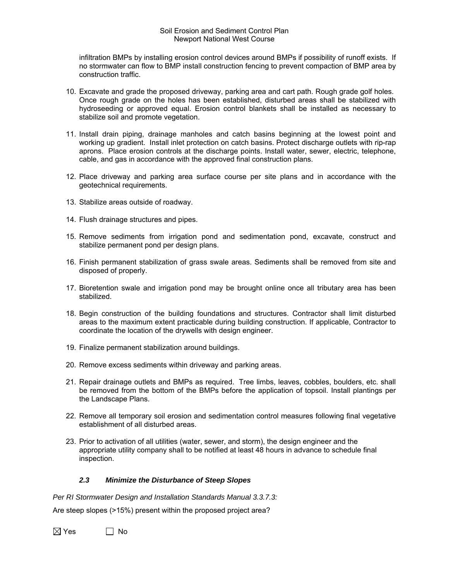infiltration BMPs by installing erosion control devices around BMPs if possibility of runoff exists. If no stormwater can flow to BMP install construction fencing to prevent compaction of BMP area by construction traffic.

- 10. Excavate and grade the proposed driveway, parking area and cart path. Rough grade golf holes. Once rough grade on the holes has been established, disturbed areas shall be stabilized with hydroseeding or approved equal. Erosion control blankets shall be installed as necessary to stabilize soil and promote vegetation.
- 11. Install drain piping, drainage manholes and catch basins beginning at the lowest point and working up gradient. Install inlet protection on catch basins. Protect discharge outlets with rip-rap aprons. Place erosion controls at the discharge points. Install water, sewer, electric, telephone, cable, and gas in accordance with the approved final construction plans.
- 12. Place driveway and parking area surface course per site plans and in accordance with the geotechnical requirements.
- 13. Stabilize areas outside of roadway.
- 14. Flush drainage structures and pipes.
- 15. Remove sediments from irrigation pond and sedimentation pond, excavate, construct and stabilize permanent pond per design plans.
- 16. Finish permanent stabilization of grass swale areas. Sediments shall be removed from site and disposed of properly.
- 17. Bioretention swale and irrigation pond may be brought online once all tributary area has been stabilized.
- 18. Begin construction of the building foundations and structures. Contractor shall limit disturbed areas to the maximum extent practicable during building construction. If applicable, Contractor to coordinate the location of the drywells with design engineer.
- 19. Finalize permanent stabilization around buildings.
- 20. Remove excess sediments within driveway and parking areas.
- 21. Repair drainage outlets and BMPs as required. Tree limbs, leaves, cobbles, boulders, etc. shall be removed from the bottom of the BMPs before the application of topsoil. Install plantings per the Landscape Plans.
- 22. Remove all temporary soil erosion and sedimentation control measures following final vegetative establishment of all disturbed areas.
- 23. Prior to activation of all utilities (water, sewer, and storm), the design engineer and the appropriate utility company shall to be notified at least 48 hours in advance to schedule final inspection.

# *2.3 Minimize the Disturbance of Steep Slopes*

*Per RI Stormwater Design and Installation Standards Manual 3.3.7.3:* 

Are steep slopes (>15%) present within the proposed project area?

 $\boxtimes$  Yes  $\Box$  No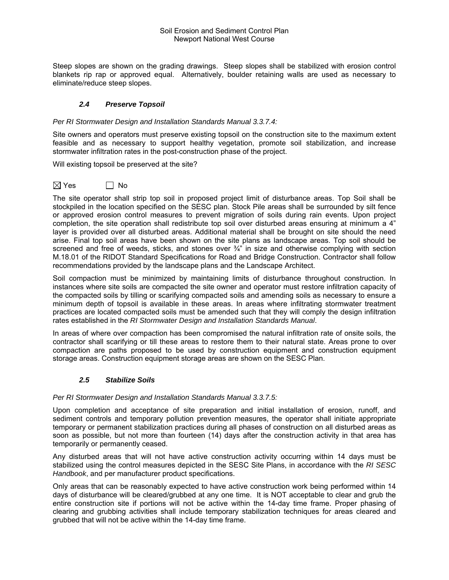Steep slopes are shown on the grading drawings. Steep slopes shall be stabilized with erosion control blankets rip rap or approved equal. Alternatively, boulder retaining walls are used as necessary to eliminate/reduce steep slopes.

# *2.4 Preserve Topsoil*

### *Per RI Stormwater Design and Installation Standards Manual 3.3.7.4:*

Site owners and operators must preserve existing topsoil on the construction site to the maximum extent feasible and as necessary to support healthy vegetation, promote soil stabilization, and increase stormwater infiltration rates in the post-construction phase of the project.

Will existing topsoil be preserved at the site?

 $\boxtimes$  Yes  $\qquad \qquad \Box$  No

The site operator shall strip top soil in proposed project limit of disturbance areas. Top Soil shall be stockpiled in the location specified on the SESC plan. Stock Pile areas shall be surrounded by silt fence or approved erosion control measures to prevent migration of soils during rain events. Upon project completion, the site operation shall redistribute top soil over disturbed areas ensuring at minimum a 4" layer is provided over all disturbed areas. Additional material shall be brought on site should the need arise. Final top soil areas have been shown on the site plans as landscape areas. Top soil should be screened and free of weeds, sticks, and stones over  $\frac{3}{4}$ " in size and otherwise complying with section M.18.01 of the RIDOT Standard Specifications for Road and Bridge Construction. Contractor shall follow recommendations provided by the landscape plans and the Landscape Architect.

Soil compaction must be minimized by maintaining limits of disturbance throughout construction. In instances where site soils are compacted the site owner and operator must restore infiltration capacity of the compacted soils by tilling or scarifying compacted soils and amending soils as necessary to ensure a minimum depth of topsoil is available in these areas. In areas where infiltrating stormwater treatment practices are located compacted soils must be amended such that they will comply the design infiltration rates established in the *RI Stormwater Design and Installation Standards Manual*.

In areas of where over compaction has been compromised the natural infiltration rate of onsite soils, the contractor shall scarifying or till these areas to restore them to their natural state. Areas prone to over compaction are paths proposed to be used by construction equipment and construction equipment storage areas. Construction equipment storage areas are shown on the SESC Plan.

# *2.5 Stabilize Soils*

### *Per RI Stormwater Design and Installation Standards Manual 3.3.7.5:*

Upon completion and acceptance of site preparation and initial installation of erosion, runoff, and sediment controls and temporary pollution prevention measures, the operator shall initiate appropriate temporary or permanent stabilization practices during all phases of construction on all disturbed areas as soon as possible, but not more than fourteen (14) days after the construction activity in that area has temporarily or permanently ceased.

Any disturbed areas that will not have active construction activity occurring within 14 days must be stabilized using the control measures depicted in the SESC Site Plans, in accordance with the *RI SESC Handbook*, and per manufacturer product specifications.

Only areas that can be reasonably expected to have active construction work being performed within 14 days of disturbance will be cleared/grubbed at any one time. It is NOT acceptable to clear and grub the entire construction site if portions will not be active within the 14-day time frame. Proper phasing of clearing and grubbing activities shall include temporary stabilization techniques for areas cleared and grubbed that will not be active within the 14-day time frame.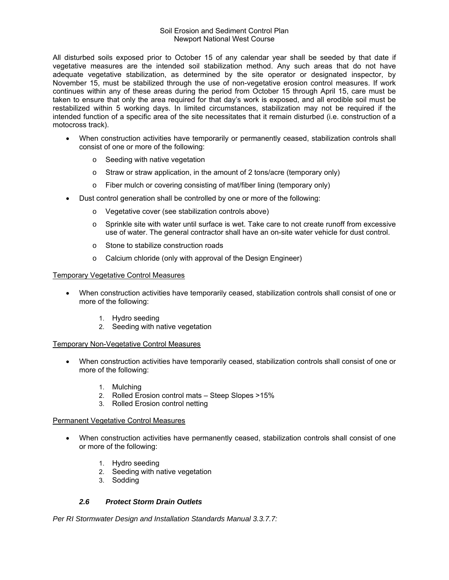All disturbed soils exposed prior to October 15 of any calendar year shall be seeded by that date if vegetative measures are the intended soil stabilization method. Any such areas that do not have adequate vegetative stabilization, as determined by the site operator or designated inspector, by November 15, must be stabilized through the use of non-vegetative erosion control measures. If work continues within any of these areas during the period from October 15 through April 15, care must be taken to ensure that only the area required for that day's work is exposed, and all erodible soil must be restabilized within 5 working days. In limited circumstances, stabilization may not be required if the intended function of a specific area of the site necessitates that it remain disturbed (i.e. construction of a motocross track).

- When construction activities have temporarily or permanently ceased, stabilization controls shall consist of one or more of the following:
	- o Seeding with native vegetation
	- o Straw or straw application, in the amount of 2 tons/acre (temporary only)
	- o Fiber mulch or covering consisting of mat/fiber lining (temporary only)
- Dust control generation shall be controlled by one or more of the following:
	- o Vegetative cover (see stabilization controls above)
	- o Sprinkle site with water until surface is wet. Take care to not create runoff from excessive use of water. The general contractor shall have an on-site water vehicle for dust control.
	- o Stone to stabilize construction roads
	- o Calcium chloride (only with approval of the Design Engineer)

### Temporary Vegetative Control Measures

- When construction activities have temporarily ceased, stabilization controls shall consist of one or more of the following:
	- 1. Hydro seeding
	- 2. Seeding with native vegetation

### Temporary Non-Vegetative Control Measures

- When construction activities have temporarily ceased, stabilization controls shall consist of one or more of the following:
	- 1. Mulching
	- 2. Rolled Erosion control mats Steep Slopes >15%
	- 3. Rolled Erosion control netting

### Permanent Vegetative Control Measures

- When construction activities have permanently ceased, stabilization controls shall consist of one or more of the following:
	- 1. Hydro seeding
	- 2. Seeding with native vegetation
	- 3. Sodding

# *2.6 Protect Storm Drain Outlets*

*Per RI Stormwater Design and Installation Standards Manual 3.3.7.7:*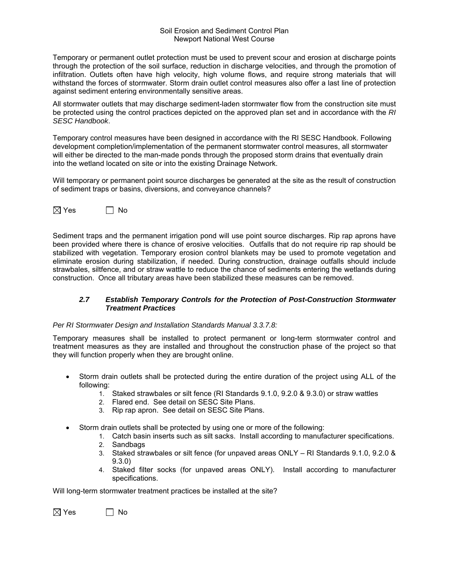Temporary or permanent outlet protection must be used to prevent scour and erosion at discharge points through the protection of the soil surface, reduction in discharge velocities, and through the promotion of infiltration. Outlets often have high velocity, high volume flows, and require strong materials that will withstand the forces of stormwater. Storm drain outlet control measures also offer a last line of protection against sediment entering environmentally sensitive areas.

All stormwater outlets that may discharge sediment-laden stormwater flow from the construction site must be protected using the control practices depicted on the approved plan set and in accordance with the *RI SESC Handbook*.

Temporary control measures have been designed in accordance with the RI SESC Handbook. Following development completion/implementation of the permanent stormwater control measures, all stormwater will either be directed to the man-made ponds through the proposed storm drains that eventually drain into the wetland located on site or into the existing Drainage Network.

Will temporary or permanent point source discharges be generated at the site as the result of construction of sediment traps or basins, diversions, and conveyance channels?



Sediment traps and the permanent irrigation pond will use point source discharges. Rip rap aprons have been provided where there is chance of erosive velocities. Outfalls that do not require rip rap should be stabilized with vegetation. Temporary erosion control blankets may be used to promote vegetation and eliminate erosion during stabilization, if needed. During construction, drainage outfalls should include strawbales, siltfence, and or straw wattle to reduce the chance of sediments entering the wetlands during construction. Once all tributary areas have been stabilized these measures can be removed.

# *2.7 Establish Temporary Controls for the Protection of Post-Construction Stormwater Treatment Practices*

### *Per RI Stormwater Design and Installation Standards Manual 3.3.7.8:*

Temporary measures shall be installed to protect permanent or long-term stormwater control and treatment measures as they are installed and throughout the construction phase of the project so that they will function properly when they are brought online.

- Storm drain outlets shall be protected during the entire duration of the project using ALL of the following:
	- 1. Staked strawbales or silt fence (RI Standards 9.1.0, 9.2.0 & 9.3.0) or straw wattles
	- 2. Flared end. See detail on SESC Site Plans.
	- 3. Rip rap apron. See detail on SESC Site Plans.
- Storm drain outlets shall be protected by using one or more of the following:
	- 1. Catch basin inserts such as silt sacks. Install according to manufacturer specifications.
	- 2. Sandbags
	- 3. Staked strawbales or silt fence (for unpaved areas ONLY RI Standards 9.1.0, 9.2.0 & 9.3.0)
	- 4. Staked filter socks (for unpaved areas ONLY). Install according to manufacturer specifications.

Will long-term stormwater treatment practices be installed at the site?

 $\boxtimes$  Yes  $\qquad \qquad \Box$  No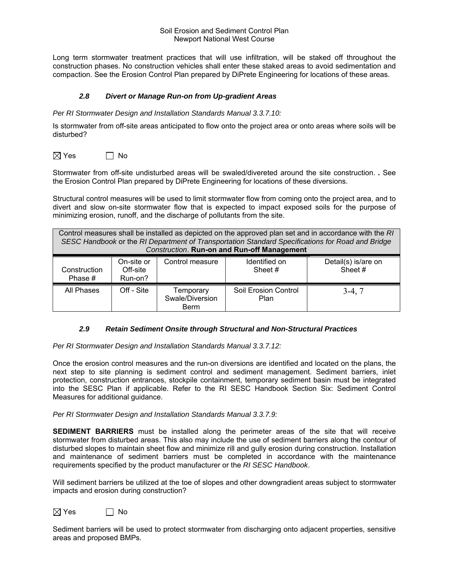Long term stormwater treatment practices that will use infiltration, will be staked off throughout the construction phases. No construction vehicles shall enter these staked areas to avoid sedimentation and compaction. See the Erosion Control Plan prepared by DiPrete Engineering for locations of these areas.

# *2.8 Divert or Manage Run-on from Up-gradient Areas*

#### *Per RI Stormwater Design and Installation Standards Manual 3.3.7.10:*

Is stormwater from off-site areas anticipated to flow onto the project area or onto areas where soils will be disturbed?

 $\boxtimes$  Yes  $\Box$  No

Stormwater from off-site undisturbed areas will be swaled/divereted around the site construction. *.* See the Erosion Control Plan prepared by DiPrete Engineering for locations of these diversions.

Structural control measures will be used to limit stormwater flow from coming onto the project area, and to divert and slow on-site stormwater flow that is expected to impact exposed soils for the purpose of minimizing erosion, runoff, and the discharge of pollutants from the site.

| Control measures shall be installed as depicted on the approved plan set and in accordance with the RI<br>SESC Handbook or the RI Department of Transportation Standard Specifications for Road and Bridge<br><b>Construction. Run-on and Run-off Management</b> |            |                                             |                              |          |
|------------------------------------------------------------------------------------------------------------------------------------------------------------------------------------------------------------------------------------------------------------------|------------|---------------------------------------------|------------------------------|----------|
| Detail(s) is/are on<br>Identified on<br>Control measure<br>On-site or<br>Sheet#<br>Off-site<br>Sheet #<br>Construction<br>Run-on?<br>Phase #                                                                                                                     |            |                                             |                              |          |
| All Phases                                                                                                                                                                                                                                                       | Off - Site | Temporary<br>Swale/Diversion<br><b>Berm</b> | Soil Erosion Control<br>Plan | $3-4, 7$ |

### *2.9 Retain Sediment Onsite through Structural and Non-Structural Practices*

*Per RI Stormwater Design and Installation Standards Manual 3.3.7.12:* 

Once the erosion control measures and the run-on diversions are identified and located on the plans, the next step to site planning is sediment control and sediment management. Sediment barriers, inlet protection, construction entrances, stockpile containment, temporary sediment basin must be integrated into the SESC Plan if applicable. Refer to the RI SESC Handbook Section Six: Sediment Control Measures for additional guidance.

*Per RI Stormwater Design and Installation Standards Manual 3.3.7.9:* 

**SEDIMENT BARRIERS** must be installed along the perimeter areas of the site that will receive stormwater from disturbed areas. This also may include the use of sediment barriers along the contour of disturbed slopes to maintain sheet flow and minimize rill and gully erosion during construction. Installation and maintenance of sediment barriers must be completed in accordance with the maintenance requirements specified by the product manufacturer or the *RI SESC Handbook*.

Will sediment barriers be utilized at the toe of slopes and other downgradient areas subject to stormwater impacts and erosion during construction?

 $\boxtimes$  Yes  $\Box$  No

Sediment barriers will be used to protect stormwater from discharging onto adjacent properties, sensitive areas and proposed BMPs.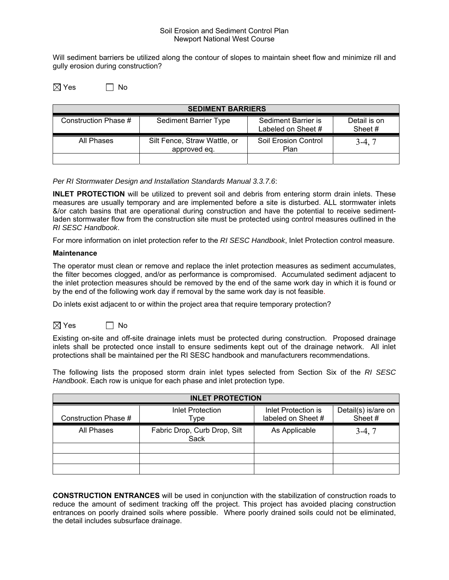Will sediment barriers be utilized along the contour of slopes to maintain sheet flow and minimize rill and gully erosion during construction?

 $\boxtimes$  Yes  $\Box$  No

| <b>SEDIMENT BARRIERS</b> |                                              |                                           |                         |  |
|--------------------------|----------------------------------------------|-------------------------------------------|-------------------------|--|
| Construction Phase #     | <b>Sediment Barrier Type</b>                 | Sediment Barrier is<br>Labeled on Sheet # | Detail is on<br>Sheet # |  |
| All Phases               | Silt Fence, Straw Wattle, or<br>approved eq. | Soil Erosion Control<br>Plan              | $3-4, 7$                |  |
|                          |                                              |                                           |                         |  |

*Per RI Stormwater Design and Installation Standards Manual 3.3.7.6*:

**INLET PROTECTION** will be utilized to prevent soil and debris from entering storm drain inlets. These measures are usually temporary and are implemented before a site is disturbed. ALL stormwater inlets &/or catch basins that are operational during construction and have the potential to receive sedimentladen stormwater flow from the construction site must be protected using control measures outlined in the *RI SESC Handbook*.

For more information on inlet protection refer to the *RI SESC Handbook*, Inlet Protection control measure.

#### **Maintenance**

The operator must clean or remove and replace the inlet protection measures as sediment accumulates, the filter becomes clogged, and/or as performance is compromised. Accumulated sediment adjacent to the inlet protection measures should be removed by the end of the same work day in which it is found or by the end of the following work day if removal by the same work day is not feasible.

Do inlets exist adjacent to or within the project area that require temporary protection?



Existing on-site and off-site drainage inlets must be protected during construction. Proposed drainage inlets shall be protected once install to ensure sediments kept out of the drainage network. All inlet protections shall be maintained per the RI SESC handbook and manufacturers recommendations.

The following lists the proposed storm drain inlet types selected from Section Six of the *RI SESC Handbook*. Each row is unique for each phase and inlet protection type.

| <b>INLET PROTECTION</b> |                                      |                                           |                                |  |
|-------------------------|--------------------------------------|-------------------------------------------|--------------------------------|--|
| Construction Phase #    | <b>Inlet Protection</b><br>Type      | Inlet Protection is<br>labeled on Sheet # | Detail(s) is/are on<br>Sheet # |  |
| All Phases              | Fabric Drop, Curb Drop, Silt<br>Sack | As Applicable                             | $3-4.7$                        |  |
|                         |                                      |                                           |                                |  |
|                         |                                      |                                           |                                |  |
|                         |                                      |                                           |                                |  |

**CONSTRUCTION ENTRANCES** will be used in conjunction with the stabilization of construction roads to reduce the amount of sediment tracking off the project. This project has avoided placing construction entrances on poorly drained soils where possible. Where poorly drained soils could not be eliminated, the detail includes subsurface drainage.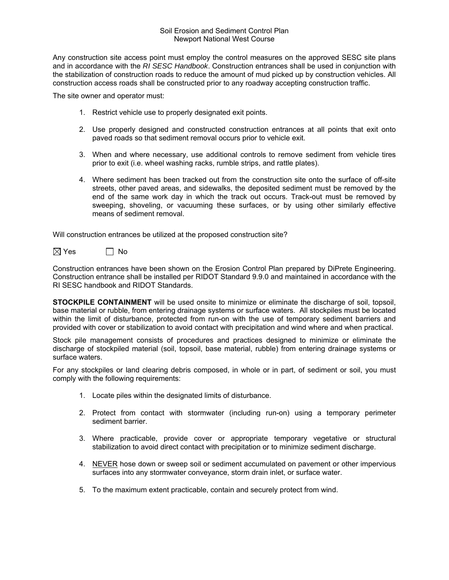Any construction site access point must employ the control measures on the approved SESC site plans and in accordance with the *RI SESC Handbook*. Construction entrances shall be used in conjunction with the stabilization of construction roads to reduce the amount of mud picked up by construction vehicles. All construction access roads shall be constructed prior to any roadway accepting construction traffic.

The site owner and operator must:

- 1. Restrict vehicle use to properly designated exit points.
- 2. Use properly designed and constructed construction entrances at all points that exit onto paved roads so that sediment removal occurs prior to vehicle exit.
- 3. When and where necessary, use additional controls to remove sediment from vehicle tires prior to exit (i.e. wheel washing racks, rumble strips, and rattle plates).
- 4. Where sediment has been tracked out from the construction site onto the surface of off-site streets, other paved areas, and sidewalks, the deposited sediment must be removed by the end of the same work day in which the track out occurs. Track-out must be removed by sweeping, shoveling, or vacuuming these surfaces, or by using other similarly effective means of sediment removal.

Will construction entrances be utilized at the proposed construction site?



Construction entrances have been shown on the Erosion Control Plan prepared by DiPrete Engineering. Construction entrance shall be installed per RIDOT Standard 9.9.0 and maintained in accordance with the RI SESC handbook and RIDOT Standards.

**STOCKPILE CONTAINMENT** will be used onsite to minimize or eliminate the discharge of soil, topsoil, base material or rubble, from entering drainage systems or surface waters. All stockpiles must be located within the limit of disturbance, protected from run-on with the use of temporary sediment barriers and provided with cover or stabilization to avoid contact with precipitation and wind where and when practical.

Stock pile management consists of procedures and practices designed to minimize or eliminate the discharge of stockpiled material (soil, topsoil, base material, rubble) from entering drainage systems or surface waters.

For any stockpiles or land clearing debris composed, in whole or in part, of sediment or soil, you must comply with the following requirements:

- 1. Locate piles within the designated limits of disturbance.
- 2. Protect from contact with stormwater (including run-on) using a temporary perimeter sediment barrier.
- 3. Where practicable, provide cover or appropriate temporary vegetative or structural stabilization to avoid direct contact with precipitation or to minimize sediment discharge.
- 4. NEVER hose down or sweep soil or sediment accumulated on pavement or other impervious surfaces into any stormwater conveyance, storm drain inlet, or surface water.
- 5. To the maximum extent practicable, contain and securely protect from wind.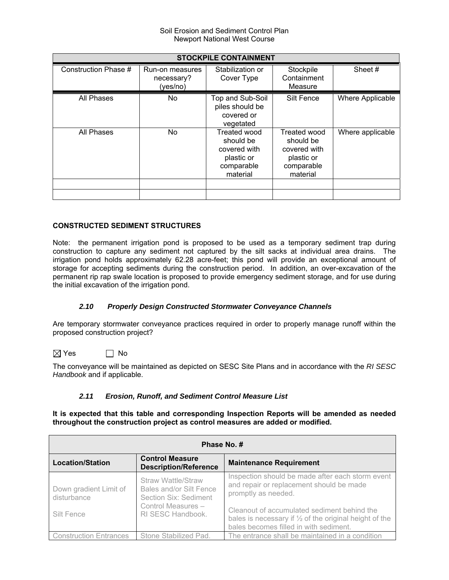| <b>STOCKPILE CONTAINMENT</b> |                                           |                                                                                          |                                                                                   |                  |  |  |  |
|------------------------------|-------------------------------------------|------------------------------------------------------------------------------------------|-----------------------------------------------------------------------------------|------------------|--|--|--|
| Construction Phase #         | Run-on measures<br>necessary?<br>(yes/no) | Stabilization or<br>Cover Type                                                           | Stockpile<br>Containment<br>Measure                                               | Sheet#           |  |  |  |
| All Phases                   | No                                        | Top and Sub-Soil<br>piles should be<br>covered or<br>vegetated                           | Silt Fence                                                                        | Where Applicable |  |  |  |
| All Phases                   | No.                                       | <b>Treated wood</b><br>should be<br>covered with<br>plastic or<br>comparable<br>material | Treated wood<br>should be<br>covered with<br>plastic or<br>comparable<br>material | Where applicable |  |  |  |
|                              |                                           |                                                                                          |                                                                                   |                  |  |  |  |

# **CONSTRUCTED SEDIMENT STRUCTURES**

Note: the permanent irrigation pond is proposed to be used as a temporary sediment trap during construction to capture any sediment not captured by the silt sacks at individual area drains. The irrigation pond holds approximately 62.28 acre-feet; this pond will provide an exceptional amount of storage for accepting sediments during the construction period. In addition, an over-excavation of the permanent rip rap swale location is proposed to provide emergency sediment storage, and for use during the initial excavation of the irrigation pond.

# *2.10 Properly Design Constructed Stormwater Conveyance Channels*

Are temporary stormwater conveyance practices required in order to properly manage runoff within the proposed construction project?

# $\boxtimes$  Yes  $\Box$  No

The conveyance will be maintained as depicted on SESC Site Plans and in accordance with the *RI SESC Handbook* and if applicable.

# *2.11 Erosion, Runoff, and Sediment Control Measure List*

**It is expected that this table and corresponding Inspection Reports will be amended as needed throughout the construction project as control measures are added or modified.** 

| Phase No. #                           |                                                                        |                                                                                                                                                            |  |  |  |  |
|---------------------------------------|------------------------------------------------------------------------|------------------------------------------------------------------------------------------------------------------------------------------------------------|--|--|--|--|
| <b>Location/Station</b>               | <b>Control Measure</b><br><b>Description/Reference</b>                 | <b>Maintenance Requirement</b>                                                                                                                             |  |  |  |  |
| Down gradient Limit of<br>disturbance | Straw Wattle/Straw<br>Bales and/or Silt Fence<br>Section Six: Sediment | Inspection should be made after each storm event<br>and repair or replacement should be made<br>promptly as needed.                                        |  |  |  |  |
| Silt Fence                            | Control Measures -<br>RI SESC Handbook.                                | Cleanout of accumulated sediment behind the<br>bales is necessary if $\frac{1}{2}$ of the original height of the<br>bales becomes filled in with sediment. |  |  |  |  |
| <b>Construction Entrances</b>         | Stone Stabilized Pad.                                                  | The entrance shall be maintained in a condition                                                                                                            |  |  |  |  |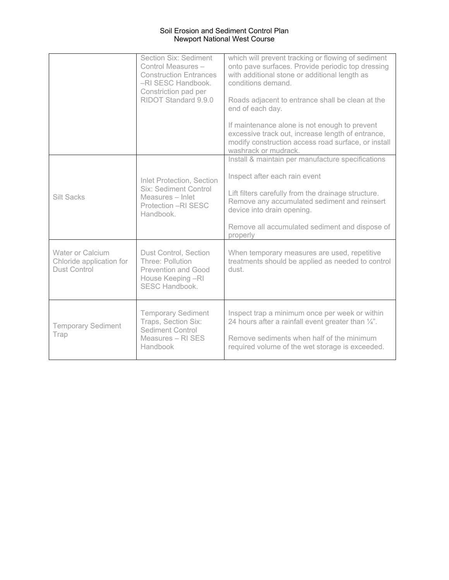|                                                                            | Section Six: Sediment<br>Control Measures -<br><b>Construction Entrances</b><br>-RI SESC Handbook.<br>Constriction pad per<br>RIDOT Standard 9.9.0 | which will prevent tracking or flowing of sediment<br>onto pave surfaces. Provide periodic top dressing<br>with additional stone or additional length as<br>conditions demand<br>Roads adjacent to entrance shall be clean at the<br>end of each day.<br>If maintenance alone is not enough to prevent<br>excessive track out, increase length of entrance,<br>modify construction access road surface, or install<br>washrack or mudrack. |
|----------------------------------------------------------------------------|----------------------------------------------------------------------------------------------------------------------------------------------------|--------------------------------------------------------------------------------------------------------------------------------------------------------------------------------------------------------------------------------------------------------------------------------------------------------------------------------------------------------------------------------------------------------------------------------------------|
| <b>Silt Sacks</b>                                                          | <b>Inlet Protection, Section</b><br><b>Six: Sediment Control</b><br>Measures - Inlet<br>Protection - RI SESC<br>Handbook.                          | Install & maintain per manufacture specifications<br>Inspect after each rain event<br>Lift filters carefully from the drainage structure.<br>Remove any accumulated sediment and reinsert<br>device into drain opening.<br>Remove all accumulated sediment and dispose of<br>properly                                                                                                                                                      |
| <b>Water or Calcium</b><br>Chloride application for<br><b>Dust Control</b> | Dust Control, Section<br>Three: Pollution<br><b>Prevention and Good</b><br>House Keeping -RI<br><b>SESC Handbook.</b>                              | When temporary measures are used, repetitive<br>treatments should be applied as needed to control<br>dust.                                                                                                                                                                                                                                                                                                                                 |
| <b>Temporary Sediment</b><br>Trap                                          | <b>Temporary Sediment</b><br>Traps, Section Six:<br><b>Sediment Control</b><br>Measures - RI SES<br>Handbook                                       | Inspect trap a minimum once per week or within<br>24 hours after a rainfall event greater than $\frac{1}{4}$ ".<br>Remove sediments when half of the minimum<br>required volume of the wet storage is exceeded.                                                                                                                                                                                                                            |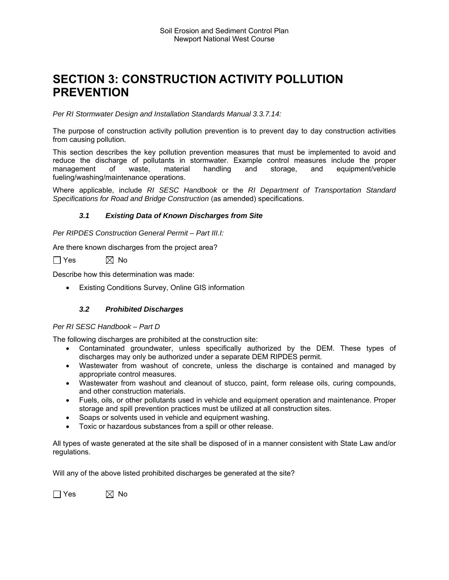# **SECTION 3: CONSTRUCTION ACTIVITY POLLUTION PREVENTION**

*Per RI Stormwater Design and Installation Standards Manual 3.3.7.14:* 

The purpose of construction activity pollution prevention is to prevent day to day construction activities from causing pollution.

This section describes the key pollution prevention measures that must be implemented to avoid and reduce the discharge of pollutants in stormwater. Example control measures include the proper management of waste, material handling and storage, and equipment/vehicle fueling/washing/maintenance operations.

Where applicable, include *RI SESC Handbook* or the *RI Department of Transportation Standard Specifications for Road and Bridge Construction* (as amended) specifications.

# *3.1 Existing Data of Known Discharges from Site*

*Per RIPDES Construction General Permit – Part III.I:* 

Are there known discharges from the project area?

 $\Box$  Yes  $\boxtimes$  No

Describe how this determination was made:

Existing Conditions Survey, Online GIS information

# *3.2 Prohibited Discharges*

### *Per RI SESC Handbook – Part D*

The following discharges are prohibited at the construction site:

- Contaminated groundwater, unless specifically authorized by the DEM. These types of discharges may only be authorized under a separate DEM RIPDES permit.
- Wastewater from washout of concrete, unless the discharge is contained and managed by appropriate control measures.
- Wastewater from washout and cleanout of stucco, paint, form release oils, curing compounds, and other construction materials.
- Fuels, oils, or other pollutants used in vehicle and equipment operation and maintenance. Proper storage and spill prevention practices must be utilized at all construction sites.
- Soaps or solvents used in vehicle and equipment washing.
- Toxic or hazardous substances from a spill or other release.

All types of waste generated at the site shall be disposed of in a manner consistent with State Law and/or regulations.

Will any of the above listed prohibited discharges be generated at the site?

 $\Box$  Yes  $\boxtimes$  No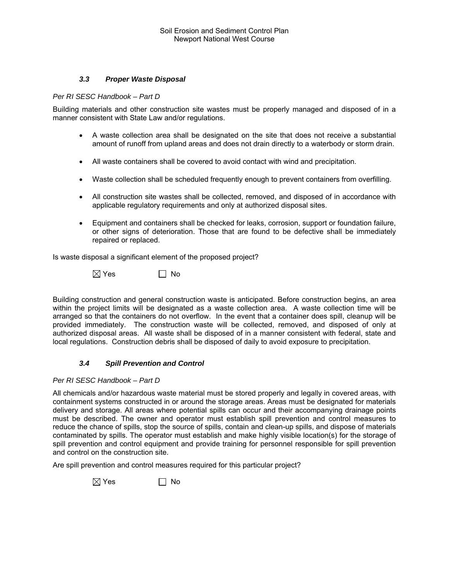# *3.3 Proper Waste Disposal*

*Per RI SESC Handbook – Part D* 

Building materials and other construction site wastes must be properly managed and disposed of in a manner consistent with State Law and/or regulations.

- A waste collection area shall be designated on the site that does not receive a substantial amount of runoff from upland areas and does not drain directly to a waterbody or storm drain.
- All waste containers shall be covered to avoid contact with wind and precipitation.
- Waste collection shall be scheduled frequently enough to prevent containers from overfilling.
- All construction site wastes shall be collected, removed, and disposed of in accordance with applicable regulatory requirements and only at authorized disposal sites.
- Equipment and containers shall be checked for leaks, corrosion, support or foundation failure, or other signs of deterioration. Those that are found to be defective shall be immediately repaired or replaced.

Is waste disposal a significant element of the proposed project?

 $\boxtimes$  Yes  $\Box$  No

Building construction and general construction waste is anticipated. Before construction begins, an area within the project limits will be designated as a waste collection area. A waste collection time will be arranged so that the containers do not overflow. In the event that a container does spill, cleanup will be provided immediately. The construction waste will be collected, removed, and disposed of only at authorized disposal areas. All waste shall be disposed of in a manner consistent with federal, state and local regulations. Construction debris shall be disposed of daily to avoid exposure to precipitation.

### *3.4 Spill Prevention and Control*

### *Per RI SESC Handbook – Part D*

All chemicals and/or hazardous waste material must be stored properly and legally in covered areas, with containment systems constructed in or around the storage areas. Areas must be designated for materials delivery and storage. All areas where potential spills can occur and their accompanying drainage points must be described. The owner and operator must establish spill prevention and control measures to reduce the chance of spills, stop the source of spills, contain and clean-up spills, and dispose of materials contaminated by spills. The operator must establish and make highly visible location(s) for the storage of spill prevention and control equipment and provide training for personnel responsible for spill prevention and control on the construction site.

Are spill prevention and control measures required for this particular project?

 $\boxtimes$  Yes  $\Box$  No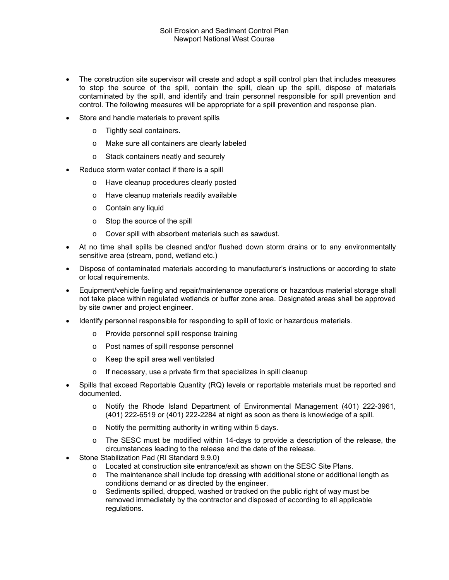- The construction site supervisor will create and adopt a spill control plan that includes measures to stop the source of the spill, contain the spill, clean up the spill, dispose of materials contaminated by the spill, and identify and train personnel responsible for spill prevention and control. The following measures will be appropriate for a spill prevention and response plan.
- Store and handle materials to prevent spills
	- o Tightly seal containers.
	- o Make sure all containers are clearly labeled
	- o Stack containers neatly and securely
- Reduce storm water contact if there is a spill
	- o Have cleanup procedures clearly posted
	- o Have cleanup materials readily available
	- o Contain any liquid
	- o Stop the source of the spill
	- o Cover spill with absorbent materials such as sawdust.
- At no time shall spills be cleaned and/or flushed down storm drains or to any environmentally sensitive area (stream, pond, wetland etc.)
- Dispose of contaminated materials according to manufacturer's instructions or according to state or local requirements.
- Equipment/vehicle fueling and repair/maintenance operations or hazardous material storage shall not take place within regulated wetlands or buffer zone area. Designated areas shall be approved by site owner and project engineer.
- Identify personnel responsible for responding to spill of toxic or hazardous materials.
	- o Provide personnel spill response training
	- o Post names of spill response personnel
	- o Keep the spill area well ventilated
	- o If necessary, use a private firm that specializes in spill cleanup
- Spills that exceed Reportable Quantity (RQ) levels or reportable materials must be reported and documented.
	- o Notify the Rhode Island Department of Environmental Management (401) 222-3961, (401) 222-6519 or (401) 222-2284 at night as soon as there is knowledge of a spill.
	- o Notify the permitting authority in writing within 5 days.
	- o The SESC must be modified within 14-days to provide a description of the release, the circumstances leading to the release and the date of the release.
- Stone Stabilization Pad (RI Standard 9.9.0)
	- o Located at construction site entrance/exit as shown on the SESC Site Plans.<br>
	o The maintenance shall include top dressing with additional stone or additiona
	- The maintenance shall include top dressing with additional stone or additional length as conditions demand or as directed by the engineer.
	- o Sediments spilled, dropped, washed or tracked on the public right of way must be removed immediately by the contractor and disposed of according to all applicable regulations.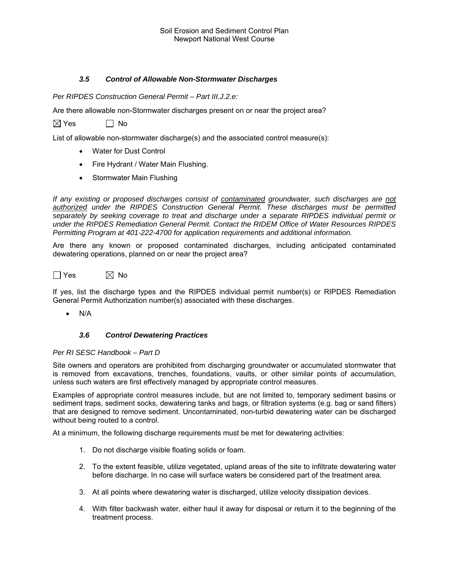# *3.5 Control of Allowable Non-Stormwater Discharges*

*Per RIPDES Construction General Permit – Part III.J.2.e:* 

Are there allowable non-Stormwater discharges present on or near the project area?

 $\boxtimes$  Yes  $\Box$  No

List of allowable non-stormwater discharge(s) and the associated control measure(s):

- Water for Dust Control
- Fire Hydrant / Water Main Flushing.
- Stormwater Main Flushing

*If any existing or proposed discharges consist of contaminated groundwater, such discharges are not authorized under the RIPDES Construction General Permit. These discharges must be permitted separately by seeking coverage to treat and discharge under a separate RIPDES individual permit or under the RIPDES Remediation General Permit. Contact the RIDEM Office of Water Resources RIPDES Permitting Program at 401-222-4700 for application requirements and additional information.* 

Are there any known or proposed contaminated discharges, including anticipated contaminated dewatering operations, planned on or near the project area?



If yes, list the discharge types and the RIPDES individual permit number(s) or RIPDES Remediation General Permit Authorization number(s) associated with these discharges.

 $\bullet$  N/A

### *3.6 Control Dewatering Practices*

### *Per RI SESC Handbook – Part D*

Site owners and operators are prohibited from discharging groundwater or accumulated stormwater that is removed from excavations, trenches, foundations, vaults, or other similar points of accumulation, unless such waters are first effectively managed by appropriate control measures.

Examples of appropriate control measures include, but are not limited to, temporary sediment basins or sediment traps, sediment socks, dewatering tanks and bags, or filtration systems (e.g. bag or sand filters) that are designed to remove sediment. Uncontaminated, non-turbid dewatering water can be discharged without being routed to a control.

At a minimum, the following discharge requirements must be met for dewatering activities:

- 1. Do not discharge visible floating solids or foam.
- 2. To the extent feasible, utilize vegetated, upland areas of the site to infiltrate dewatering water before discharge. In no case will surface waters be considered part of the treatment area.
- 3. At all points where dewatering water is discharged, utilize velocity dissipation devices.
- 4. With filter backwash water, either haul it away for disposal or return it to the beginning of the treatment process.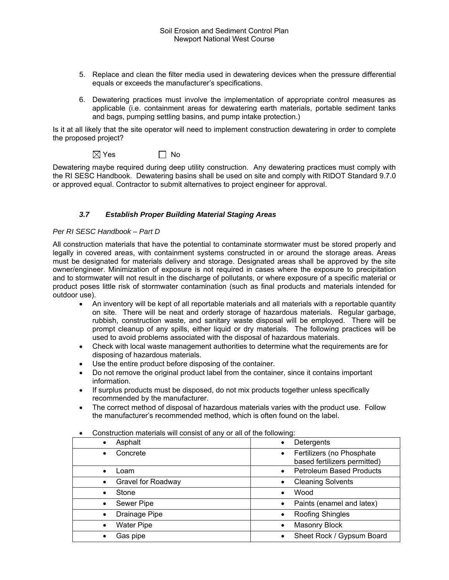- 5. Replace and clean the filter media used in dewatering devices when the pressure differential equals or exceeds the manufacturer's specifications.
- 6. Dewatering practices must involve the implementation of appropriate control measures as applicable (i.e. containment areas for dewatering earth materials, portable sediment tanks and bags, pumping settling basins, and pump intake protection.)

Is it at all likely that the site operator will need to implement construction dewatering in order to complete the proposed project?

| $\boxtimes$ Yes | $\Box$ No |
|-----------------|-----------|
|-----------------|-----------|

Dewatering maybe required during deep utility construction. Any dewatering practices must comply with the RI SESC Handbook. Dewatering basins shall be used on site and comply with RIDOT Standard 9.7.0 or approved equal. Contractor to submit alternatives to project engineer for approval.

# *3.7 Establish Proper Building Material Staging Areas*

# *Per RI SESC Handbook – Part D*

All construction materials that have the potential to contaminate stormwater must be stored properly and legally in covered areas, with containment systems constructed in or around the storage areas. Areas must be designated for materials delivery and storage. Designated areas shall be approved by the site owner/engineer. Minimization of exposure is not required in cases where the exposure to precipitation and to stormwater will not result in the discharge of pollutants, or where exposure of a specific material or product poses little risk of stormwater contamination (such as final products and materials intended for outdoor use).

- An inventory will be kept of all reportable materials and all materials with a reportable quantity on site. There will be neat and orderly storage of hazardous materials. Regular garbage, rubbish, construction waste, and sanitary waste disposal will be employed. There will be prompt cleanup of any spills, either liquid or dry materials. The following practices will be used to avoid problems associated with the disposal of hazardous materials.
- Check with local waste management authorities to determine what the requirements are for disposing of hazardous materials.
- Use the entire product before disposing of the container.
- Do not remove the original product label from the container, since it contains important information.
- If surplus products must be disposed, do not mix products together unless specifically recommended by the manufacturer.
- The correct method of disposal of hazardous materials varies with the product use. Follow the manufacturer's recommended method, which is often found on the label.

| Asphalt                   | Detergents                                                             |
|---------------------------|------------------------------------------------------------------------|
| $\bullet$                 | $\bullet$                                                              |
| Concrete                  | Fertilizers (no Phosphate<br>$\bullet$<br>based fertilizers permitted) |
| .oam                      | <b>Petroleum Based Products</b>                                        |
| $\bullet$                 | $\bullet$                                                              |
| <b>Gravel for Roadway</b> | <b>Cleaning Solvents</b>                                               |
| $\bullet$                 | $\bullet$                                                              |
| Stone                     | Wood                                                                   |
| $\bullet$                 | $\bullet$                                                              |
| Sewer Pipe                | Paints (enamel and latex)<br>$\bullet$                                 |
| Drainage Pipe             | Roofing Shingles                                                       |
| $\bullet$                 | $\bullet$                                                              |
| <b>Water Pipe</b>         | <b>Masonry Block</b>                                                   |
| $\bullet$                 | $\bullet$                                                              |
| Gas pipe                  | Sheet Rock / Gypsum Board<br>$\bullet$                                 |

Construction materials will consist of any or all of the following: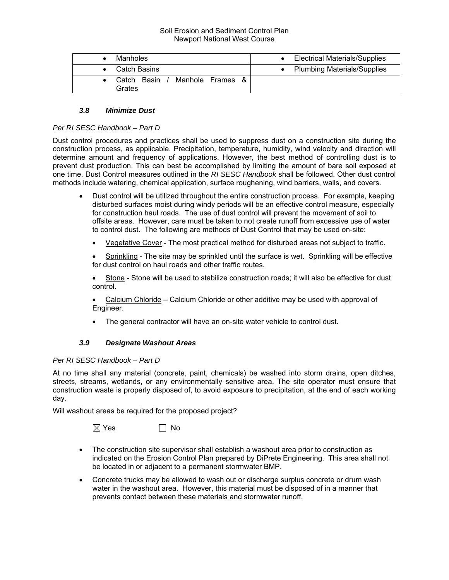| Manholes              |                  | <b>Electrical Materials/Supplies</b> |
|-----------------------|------------------|--------------------------------------|
| <b>Catch Basins</b>   |                  | <b>Plumbing Materials/Supplies</b>   |
| Catch Basin<br>Grates | Manhole Frames & |                                      |

# *3.8 Minimize Dust*

# *Per RI SESC Handbook – Part D*

Dust control procedures and practices shall be used to suppress dust on a construction site during the construction process, as applicable. Precipitation, temperature, humidity, wind velocity and direction will determine amount and frequency of applications. However, the best method of controlling dust is to prevent dust production. This can best be accomplished by limiting the amount of bare soil exposed at one time. Dust Control measures outlined in the *RI SESC Handbook* shall be followed. Other dust control methods include watering, chemical application, surface roughening, wind barriers, walls, and covers.

- Dust control will be utilized throughout the entire construction process. For example, keeping disturbed surfaces moist during windy periods will be an effective control measure, especially for construction haul roads. The use of dust control will prevent the movement of soil to offsite areas. However, care must be taken to not create runoff from excessive use of water to control dust. The following are methods of Dust Control that may be used on-site:
	- Vegetative Cover The most practical method for disturbed areas not subject to traffic.

 Sprinkling - The site may be sprinkled until the surface is wet. Sprinkling will be effective for dust control on haul roads and other traffic routes.

 Stone - Stone will be used to stabilize construction roads; it will also be effective for dust control.

 Calcium Chloride – Calcium Chloride or other additive may be used with approval of Engineer.

• The general contractor will have an on-site water vehicle to control dust.

### *3.9 Designate Washout Areas*

### *Per RI SESC Handbook – Part D*

At no time shall any material (concrete, paint, chemicals) be washed into storm drains, open ditches, streets, streams, wetlands, or any environmentally sensitive area. The site operator must ensure that construction waste is properly disposed of, to avoid exposure to precipitation, at the end of each working day.

Will washout areas be required for the proposed project?

 $\boxtimes$  Yes  $\Box$  No

- The construction site supervisor shall establish a washout area prior to construction as indicated on the Erosion Control Plan prepared by DiPrete Engineering. This area shall not be located in or adjacent to a permanent stormwater BMP.
- Concrete trucks may be allowed to wash out or discharge surplus concrete or drum wash water in the washout area. However, this material must be disposed of in a manner that prevents contact between these materials and stormwater runoff.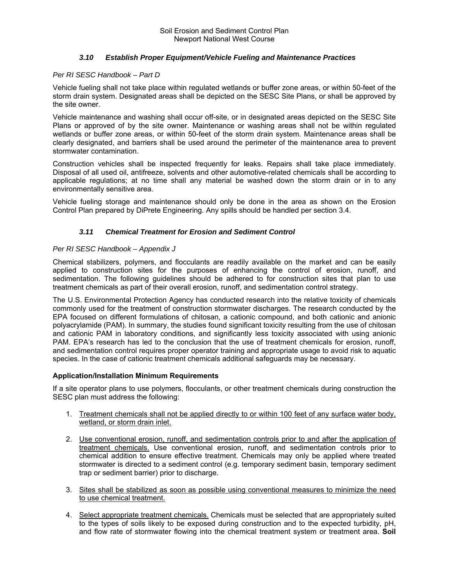# *3.10 Establish Proper Equipment/Vehicle Fueling and Maintenance Practices*

### *Per RI SESC Handbook – Part D*

Vehicle fueling shall not take place within regulated wetlands or buffer zone areas, or within 50-feet of the storm drain system. Designated areas shall be depicted on the SESC Site Plans, or shall be approved by the site owner.

Vehicle maintenance and washing shall occur off-site, or in designated areas depicted on the SESC Site Plans or approved of by the site owner. Maintenance or washing areas shall not be within regulated wetlands or buffer zone areas, or within 50-feet of the storm drain system. Maintenance areas shall be clearly designated, and barriers shall be used around the perimeter of the maintenance area to prevent stormwater contamination.

Construction vehicles shall be inspected frequently for leaks. Repairs shall take place immediately. Disposal of all used oil, antifreeze, solvents and other automotive-related chemicals shall be according to applicable regulations; at no time shall any material be washed down the storm drain or in to any environmentally sensitive area.

Vehicle fueling storage and maintenance should only be done in the area as shown on the Erosion Control Plan prepared by DiPrete Engineering. Any spills should be handled per section 3.4.

# *3.11 Chemical Treatment for Erosion and Sediment Control*

### *Per RI SESC Handbook – Appendix J*

Chemical stabilizers, polymers, and flocculants are readily available on the market and can be easily applied to construction sites for the purposes of enhancing the control of erosion, runoff, and sedimentation. The following guidelines should be adhered to for construction sites that plan to use treatment chemicals as part of their overall erosion, runoff, and sedimentation control strategy.

The U.S. Environmental Protection Agency has conducted research into the relative toxicity of chemicals commonly used for the treatment of construction stormwater discharges. The research conducted by the EPA focused on different formulations of chitosan, a cationic compound, and both cationic and anionic polyacrylamide (PAM). In summary, the studies found significant toxicity resulting from the use of chitosan and cationic PAM in laboratory conditions, and significantly less toxicity associated with using anionic PAM. EPA's research has led to the conclusion that the use of treatment chemicals for erosion, runoff, and sedimentation control requires proper operator training and appropriate usage to avoid risk to aquatic species. In the case of cationic treatment chemicals additional safeguards may be necessary.

### **Application/Installation Minimum Requirements**

If a site operator plans to use polymers, flocculants, or other treatment chemicals during construction the SESC plan must address the following:

- 1. Treatment chemicals shall not be applied directly to or within 100 feet of any surface water body, wetland, or storm drain inlet.
- 2. Use conventional erosion, runoff, and sedimentation controls prior to and after the application of treatment chemicals. Use conventional erosion, runoff, and sedimentation controls prior to chemical addition to ensure effective treatment. Chemicals may only be applied where treated stormwater is directed to a sediment control (e.g. temporary sediment basin, temporary sediment trap or sediment barrier) prior to discharge.
- 3. Sites shall be stabilized as soon as possible using conventional measures to minimize the need to use chemical treatment.
- 4. Select appropriate treatment chemicals. Chemicals must be selected that are appropriately suited to the types of soils likely to be exposed during construction and to the expected turbidity, pH, and flow rate of stormwater flowing into the chemical treatment system or treatment area. **Soil**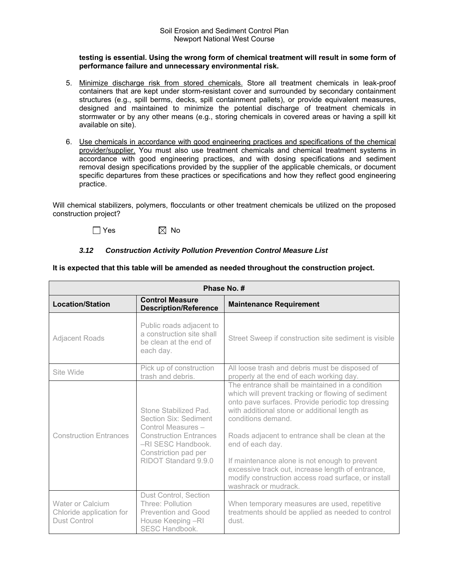#### **testing is essential. Using the wrong form of chemical treatment will result in some form of performance failure and unnecessary environmental risk.**

- 5. Minimize discharge risk from stored chemicals. Store all treatment chemicals in leak-proof containers that are kept under storm-resistant cover and surrounded by secondary containment structures (e.g., spill berms, decks, spill containment pallets), or provide equivalent measures, designed and maintained to minimize the potential discharge of treatment chemicals in stormwater or by any other means (e.g., storing chemicals in covered areas or having a spill kit available on site).
- 6. Use chemicals in accordance with good engineering practices and specifications of the chemical provider/supplier. You must also use treatment chemicals and chemical treatment systems in accordance with good engineering practices, and with dosing specifications and sediment removal design specifications provided by the supplier of the applicable chemicals, or document specific departures from these practices or specifications and how they reflect good engineering practice.

Will chemical stabilizers, polymers, flocculants or other treatment chemicals be utilized on the proposed construction project?

 $\Box$  Yes  $\boxtimes$  No

# *3.12 Construction Activity Pollution Prevention Control Measure List*

**It is expected that this table will be amended as needed throughout the construction project.** 

| Phase No. #                                                                                                                                                                           |                                                                                                                                                                             |                                                                                                                                                                                                                                                                                                                                                                                                                                                                                                |  |  |  |  |
|---------------------------------------------------------------------------------------------------------------------------------------------------------------------------------------|-----------------------------------------------------------------------------------------------------------------------------------------------------------------------------|------------------------------------------------------------------------------------------------------------------------------------------------------------------------------------------------------------------------------------------------------------------------------------------------------------------------------------------------------------------------------------------------------------------------------------------------------------------------------------------------|--|--|--|--|
| <b>Location/Station</b>                                                                                                                                                               | <b>Control Measure</b><br><b>Description/Reference</b>                                                                                                                      | <b>Maintenance Requirement</b>                                                                                                                                                                                                                                                                                                                                                                                                                                                                 |  |  |  |  |
| Adjacent Roads                                                                                                                                                                        | Public roads adjacent to<br>a construction site shall<br>be clean at the end of<br>each day.                                                                                | Street Sweep if construction site sediment is visible                                                                                                                                                                                                                                                                                                                                                                                                                                          |  |  |  |  |
| Site Wide                                                                                                                                                                             | Pick up of construction<br>trash and debris.                                                                                                                                | All loose trash and debris must be disposed of<br>properly at the end of each working day.                                                                                                                                                                                                                                                                                                                                                                                                     |  |  |  |  |
| <b>Construction Entrances</b>                                                                                                                                                         | Stone Stabilized Pad.<br>Section Six: Sediment<br>Control Measures -<br><b>Construction Entrances</b><br>-RI SESC Handbook.<br>Constriction pad per<br>RIDOT Standard 9.9.0 | The entrance shall be maintained in a condition<br>which will prevent tracking or flowing of sediment<br>onto pave surfaces. Provide periodic top dressing<br>with additional stone or additional length as<br>conditions demand.<br>Roads adjacent to entrance shall be clean at the<br>end of each day.<br>If maintenance alone is not enough to prevent<br>excessive track out, increase length of entrance,<br>modify construction access road surface, or install<br>washrack or mudrack. |  |  |  |  |
| Dust Control, Section<br><b>Water or Calcium</b><br>Three: Pollution<br>Chloride application for<br>Prevention and Good<br>Dust Control<br>House Keeping -RI<br><b>SESC Handbook.</b> |                                                                                                                                                                             | When temporary measures are used, repetitive<br>treatments should be applied as needed to control<br>dust.                                                                                                                                                                                                                                                                                                                                                                                     |  |  |  |  |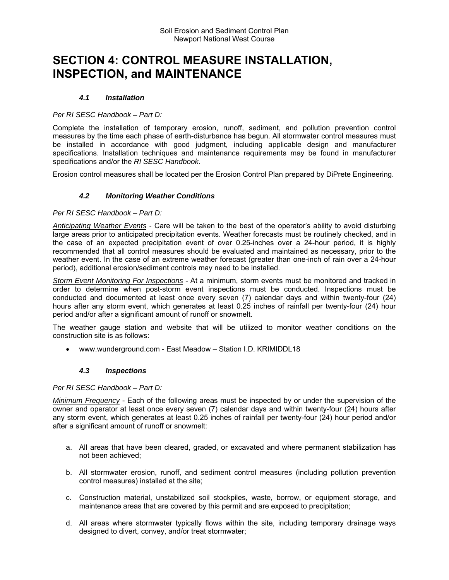# **SECTION 4: CONTROL MEASURE INSTALLATION, INSPECTION, and MAINTENANCE**

# *4.1 Installation*

### *Per RI SESC Handbook – Part D:*

Complete the installation of temporary erosion, runoff, sediment, and pollution prevention control measures by the time each phase of earth-disturbance has begun. All stormwater control measures must be installed in accordance with good judgment, including applicable design and manufacturer specifications. Installation techniques and maintenance requirements may be found in manufacturer specifications and/or the *RI SESC Handbook*.

Erosion control measures shall be located per the Erosion Control Plan prepared by DiPrete Engineering.

# *4.2 Monitoring Weather Conditions*

### *Per RI SESC Handbook – Part D:*

*Anticipating Weather Events -* Care will be taken to the best of the operator's ability to avoid disturbing large areas prior to anticipated precipitation events. Weather forecasts must be routinely checked, and in the case of an expected precipitation event of over 0.25-inches over a 24-hour period, it is highly recommended that all control measures should be evaluated and maintained as necessary, prior to the weather event. In the case of an extreme weather forecast (greater than one-inch of rain over a 24-hour period), additional erosion/sediment controls may need to be installed.

*Storm Event Monitoring For Inspections* - At a minimum, storm events must be monitored and tracked in order to determine when post-storm event inspections must be conducted. Inspections must be conducted and documented at least once every seven (7) calendar days and within twenty-four (24) hours after any storm event, which generates at least 0.25 inches of rainfall per twenty-four (24) hour period and/or after a significant amount of runoff or snowmelt.

The weather gauge station and website that will be utilized to monitor weather conditions on the construction site is as follows:

www.wunderground.com - East Meadow – Station I.D. KRIMIDDL18

### *4.3 Inspections*

### *Per RI SESC Handbook – Part D:*

*Minimum Frequency* - Each of the following areas must be inspected by or under the supervision of the owner and operator at least once every seven (7) calendar days and within twenty-four (24) hours after any storm event, which generates at least 0.25 inches of rainfall per twenty-four (24) hour period and/or after a significant amount of runoff or snowmelt:

- a. All areas that have been cleared, graded, or excavated and where permanent stabilization has not been achieved;
- b. All stormwater erosion, runoff, and sediment control measures (including pollution prevention control measures) installed at the site;
- c. Construction material, unstabilized soil stockpiles, waste, borrow, or equipment storage, and maintenance areas that are covered by this permit and are exposed to precipitation;
- d. All areas where stormwater typically flows within the site, including temporary drainage ways designed to divert, convey, and/or treat stormwater;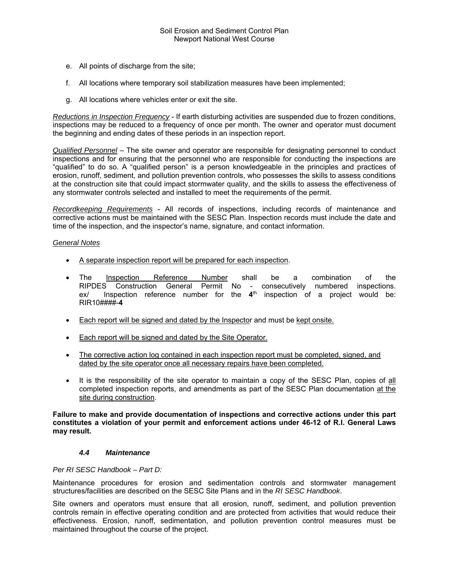- e. All points of discharge from the site;
- f. All locations where temporary soil stabilization measures have been implemented;
- g. All locations where vehicles enter or exit the site.

*Reductions in Inspection Frequency* - If earth disturbing activities are suspended due to frozen conditions, inspections may be reduced to a frequency of once per month. The owner and operator must document the beginning and ending dates of these periods in an inspection report.

*Qualified Personnel* – The site owner and operator are responsible for designating personnel to conduct inspections and for ensuring that the personnel who are responsible for conducting the inspections are "qualified" to do so. A "qualified person" is a person knowledgeable in the principles and practices of erosion, runoff, sediment, and pollution prevention controls, who possesses the skills to assess conditions at the construction site that could impact stormwater quality, and the skills to assess the effectiveness of any stormwater controls selected and installed to meet the requirements of the permit.

*Recordkeeping Requirements* - All records of inspections, including records of maintenance and corrective actions must be maintained with the SESC Plan. Inspection records must include the date and time of the inspection, and the inspector's name, signature, and contact information.

# *General Notes*

- A separate inspection report will be prepared for each inspection.
- The Inspection Reference Number shall be a combination of the RIPDES Construction General Permit No - consecutively numbered inspections. ex/ Inspection reference number for the **4**th inspection of a project would be: RIR10####-**4**
- Each report will be signed and dated by the Inspector and must be kept onsite.
- **Each report will be signed and dated by the Site Operator.**
- The corrective action log contained in each inspection report must be completed, signed, and dated by the site operator once all necessary repairs have been completed.
- It is the responsibility of the site operator to maintain a copy of the SESC Plan, copies of all completed inspection reports, and amendments as part of the SESC Plan documentation at the site during construction.

**Failure to make and provide documentation of inspections and corrective actions under this part constitutes a violation of your permit and enforcement actions under 46-12 of R.I. General Laws may result.** 

### *4.4 Maintenance*

### *Per RI SESC Handbook – Part D:*

Maintenance procedures for erosion and sedimentation controls and stormwater management structures/facilities are described on the SESC Site Plans and in the *RI SESC Handbook*.

Site owners and operators must ensure that all erosion, runoff, sediment, and pollution prevention controls remain in effective operating condition and are protected from activities that would reduce their effectiveness. Erosion, runoff, sedimentation, and pollution prevention control measures must be maintained throughout the course of the project.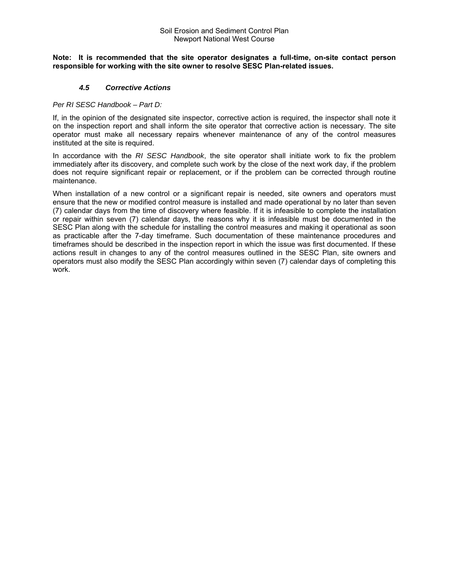#### **Note: It is recommended that the site operator designates a full-time, on-site contact person responsible for working with the site owner to resolve SESC Plan-related issues.**

### *4.5 Corrective Actions*

### *Per RI SESC Handbook – Part D:*

If, in the opinion of the designated site inspector, corrective action is required, the inspector shall note it on the inspection report and shall inform the site operator that corrective action is necessary. The site operator must make all necessary repairs whenever maintenance of any of the control measures instituted at the site is required.

In accordance with the *RI SESC Handbook*, the site operator shall initiate work to fix the problem immediately after its discovery, and complete such work by the close of the next work day, if the problem does not require significant repair or replacement, or if the problem can be corrected through routine maintenance.

When installation of a new control or a significant repair is needed, site owners and operators must ensure that the new or modified control measure is installed and made operational by no later than seven (7) calendar days from the time of discovery where feasible. If it is infeasible to complete the installation or repair within seven (7) calendar days, the reasons why it is infeasible must be documented in the SESC Plan along with the schedule for installing the control measures and making it operational as soon as practicable after the 7-day timeframe. Such documentation of these maintenance procedures and timeframes should be described in the inspection report in which the issue was first documented. If these actions result in changes to any of the control measures outlined in the SESC Plan, site owners and operators must also modify the SESC Plan accordingly within seven (7) calendar days of completing this work.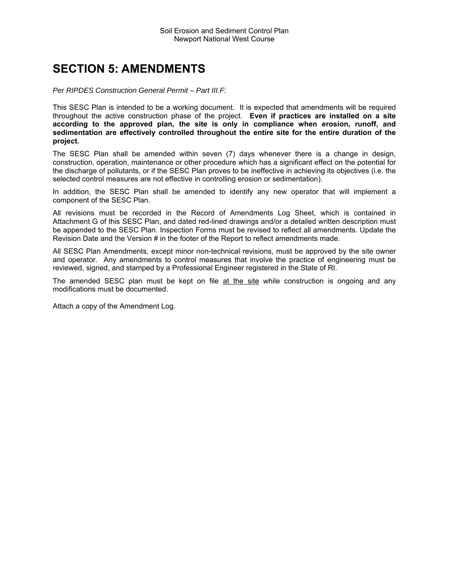# **SECTION 5: AMENDMENTS**

#### *Per RIPDES Construction General Permit – Part III.F:*

This SESC Plan is intended to be a working document. It is expected that amendments will be required throughout the active construction phase of the project. **Even if practices are installed on a site according to the approved plan, the site is only in compliance when erosion, runoff, and sedimentation are effectively controlled throughout the entire site for the entire duration of the project.**

The SESC Plan shall be amended within seven (7) days whenever there is a change in design, construction, operation, maintenance or other procedure which has a significant effect on the potential for the discharge of pollutants, or if the SESC Plan proves to be ineffective in achieving its objectives (i.e. the selected control measures are not effective in controlling erosion or sedimentation).

In addition, the SESC Plan shall be amended to identify any new operator that will implement a component of the SESC Plan.

All revisions must be recorded in the Record of Amendments Log Sheet, which is contained in Attachment G of this SESC Plan, and dated red-lined drawings and/or a detailed written description must be appended to the SESC Plan. Inspection Forms must be revised to reflect all amendments. Update the Revision Date and the Version # in the footer of the Report to reflect amendments made.

All SESC Plan Amendments, except minor non-technical revisions, must be approved by the site owner and operator. Any amendments to control measures that involve the practice of engineering must be reviewed, signed, and stamped by a Professional Engineer registered in the State of RI.

The amended SESC plan must be kept on file at the site while construction is ongoing and any modifications must be documented.

Attach a copy of the Amendment Log.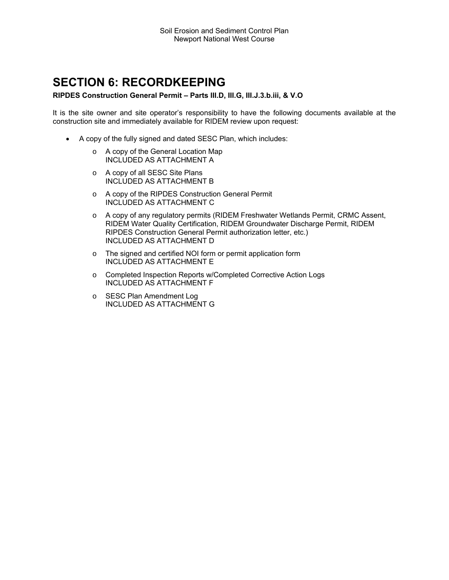# **SECTION 6: RECORDKEEPING**

### **RIPDES Construction General Permit – Parts III.D, III.G, III.J.3.b.iii, & V.O**

It is the site owner and site operator's responsibility to have the following documents available at the construction site and immediately available for RIDEM review upon request:

- A copy of the fully signed and dated SESC Plan, which includes:
	- o A copy of the General Location Map INCLUDED AS ATTACHMENT A
	- o A copy of all SESC Site Plans INCLUDED AS ATTACHMENT B
	- o A copy of the RIPDES Construction General Permit INCLUDED AS ATTACHMENT C
	- o A copy of any regulatory permits (RIDEM Freshwater Wetlands Permit, CRMC Assent, RIDEM Water Quality Certification, RIDEM Groundwater Discharge Permit, RIDEM RIPDES Construction General Permit authorization letter, etc.) INCLUDED AS ATTACHMENT D
	- o The signed and certified NOI form or permit application form INCLUDED AS ATTACHMENT E
	- o Completed Inspection Reports w/Completed Corrective Action Logs INCLUDED AS ATTACHMENT F
	- o SESC Plan Amendment Log INCLUDED AS ATTACHMENT G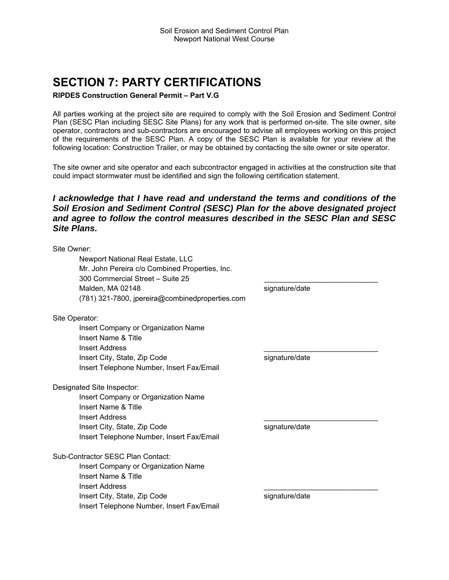# **SECTION 7: PARTY CERTIFICATIONS**

### **RIPDES Construction General Permit – Part V.G**

All parties working at the project site are required to comply with the Soil Erosion and Sediment Control Plan (SESC Plan including SESC Site Plans) for any work that is performed on-site. The site owner, site operator, contractors and sub-contractors are encouraged to advise all employees working on this project of the requirements of the SESC Plan. A copy of the SESC Plan is available for your review at the following location: Construction Trailer, or may be obtained by contacting the site owner or site operator.

The site owner and site operator and each subcontractor engaged in activities at the construction site that could impact stormwater must be identified and sign the following certification statement.

# *I acknowledge that I have read and understand the terms and conditions of the Soil Erosion and Sediment Control (SESC) Plan for the above designated project and agree to follow the control measures described in the SESC Plan and SESC Site Plans.*

Site Owner: Newport National Real Estate, LLC Mr. John Pereira c/o Combined Properties, Inc. 300 Commercial Street - Suite 25 Malden, MA 02148 signature/date (781) 321-7800, jpereira@combinedproperties.com Site Operator: Insert Company or Organization Name Insert Name & Title Insert Address \_\_\_\_\_\_\_\_\_\_\_\_\_\_\_\_\_\_\_\_\_\_\_\_\_\_\_\_ Insert City, State, Zip Code signature/date Insert Telephone Number, Insert Fax/Email Designated Site Inspector: Insert Company or Organization Name Insert Name & Title Insert Address \_\_\_\_\_\_\_\_\_\_\_\_\_\_\_\_\_\_\_\_\_\_\_\_\_\_\_\_ Insert City, State, Zip Code signature/date Insert Telephone Number, Insert Fax/Email Sub-Contractor SESC Plan Contact: Insert Company or Organization Name Insert Name & Title Insert Address \_\_\_\_\_\_\_\_\_\_\_\_\_\_\_\_\_\_\_\_\_\_\_\_\_\_\_\_ Insert City, State, Zip Code signature/date Insert Telephone Number, Insert Fax/Email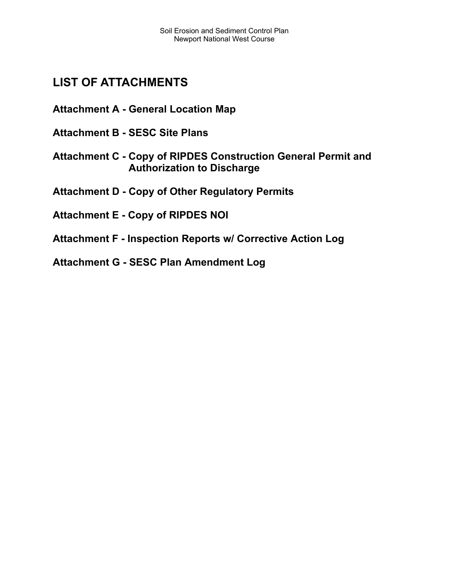# **LIST OF ATTACHMENTS**

**Attachment A - General Location Map** 

- **Attachment B SESC Site Plans**
- **Attachment C Copy of RIPDES Construction General Permit and Authorization to Discharge**

**Attachment D - Copy of Other Regulatory Permits** 

- **Attachment E Copy of RIPDES NOI**
- **Attachment F Inspection Reports w/ Corrective Action Log**

**Attachment G - SESC Plan Amendment Log**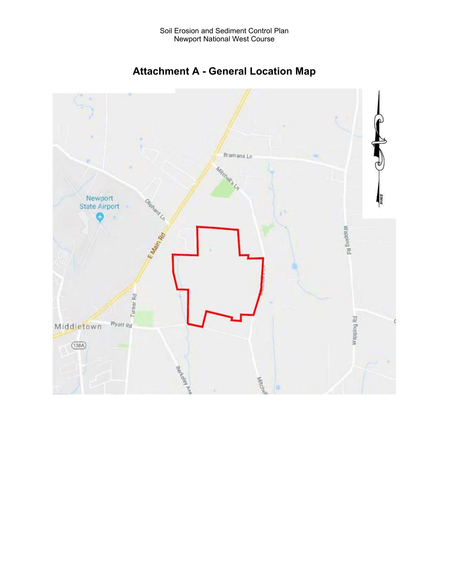

**Attachment A - General Location Map**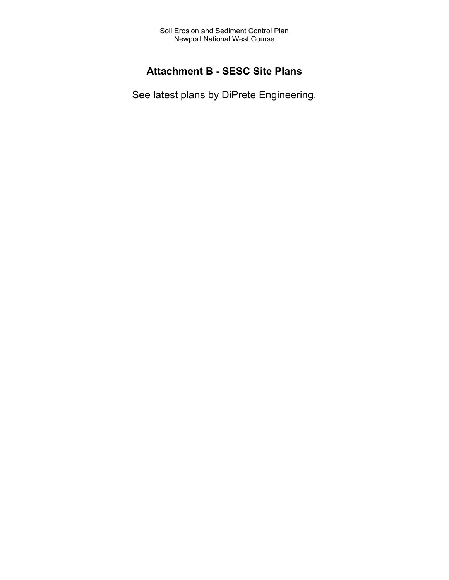# **Attachment B - SESC Site Plans**

See latest plans by DiPrete Engineering.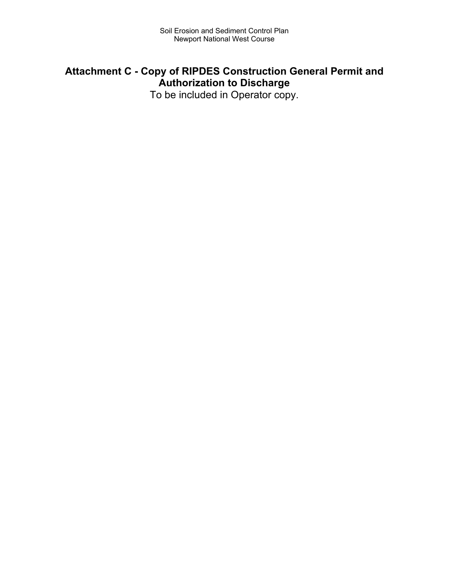# **Attachment C - Copy of RIPDES Construction General Permit and Authorization to Discharge**

To be included in Operator copy.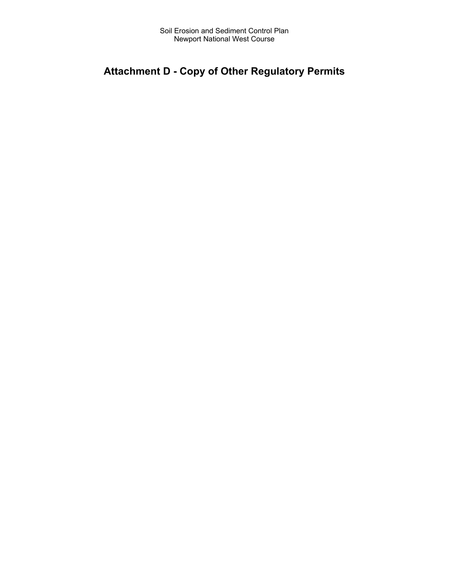# **Attachment D - Copy of Other Regulatory Permits**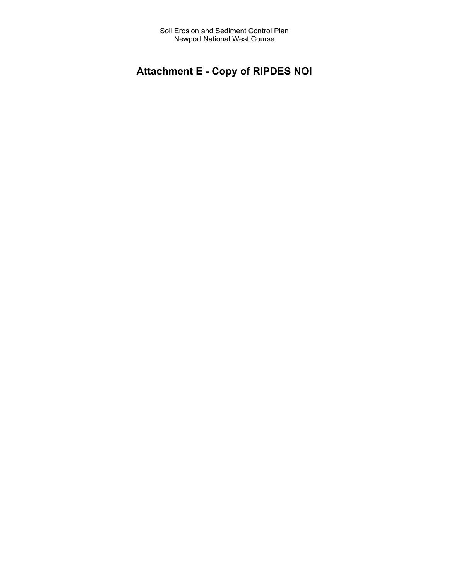# **Attachment E - Copy of RIPDES NOI**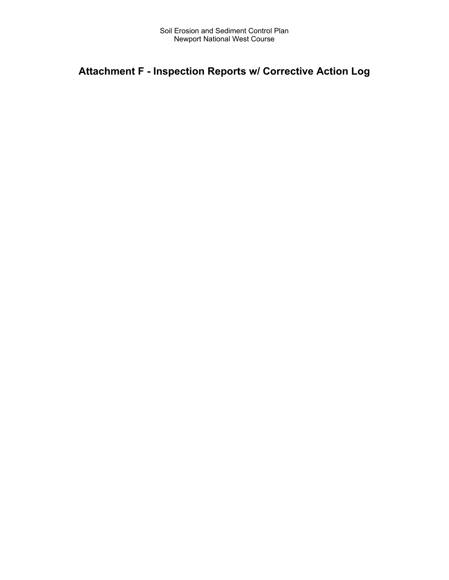# **Attachment F - Inspection Reports w/ Corrective Action Log**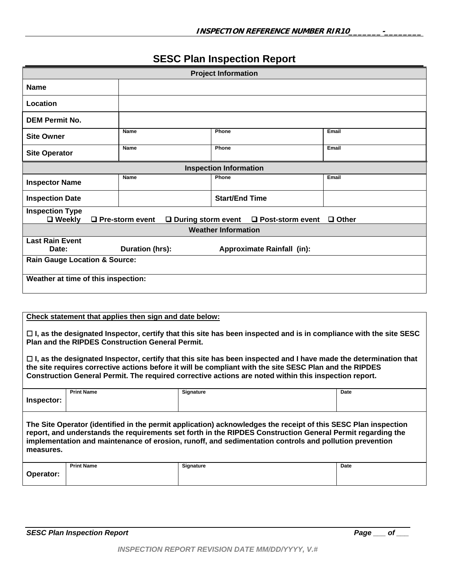# **SESC Plan Inspection Report**

| <b>Project Information</b>                                                              |                        |  |                               |                                                                |       |
|-----------------------------------------------------------------------------------------|------------------------|--|-------------------------------|----------------------------------------------------------------|-------|
| <b>Name</b>                                                                             |                        |  |                               |                                                                |       |
| Location                                                                                |                        |  |                               |                                                                |       |
| <b>DEM Permit No.</b>                                                                   |                        |  |                               |                                                                |       |
| <b>Site Owner</b>                                                                       | <b>Name</b>            |  | Phone                         |                                                                | Email |
| <b>Site Operator</b>                                                                    | Name                   |  | Phone                         |                                                                | Email |
|                                                                                         |                        |  | <b>Inspection Information</b> |                                                                |       |
| <b>Inspector Name</b>                                                                   | <b>Name</b>            |  | Phone                         |                                                                | Email |
| <b>Inspection Date</b>                                                                  |                        |  | <b>Start/End Time</b>         |                                                                |       |
| <b>Inspection Type</b><br>$\square$ Weekly                                              | $\Box$ Pre-storm event |  |                               | $\Box$ During storm event $\Box$ Post-storm event $\Box$ Other |       |
|                                                                                         |                        |  | <b>Weather Information</b>    |                                                                |       |
| <b>Last Rain Event</b><br>Duration (hrs):<br>Date:<br><b>Approximate Rainfall (in):</b> |                        |  |                               |                                                                |       |
| <b>Rain Gauge Location &amp; Source:</b>                                                |                        |  |                               |                                                                |       |
| Weather at time of this inspection:                                                     |                        |  |                               |                                                                |       |

### **Check statement that applies then sign and date below:**

 **I, as the designated Inspector, certify that this site has been inspected and is in compliance with the site SESC Plan and the RIPDES Construction General Permit.** 

 **I, as the designated Inspector, certify that this site has been inspected and I have made the determination that the site requires corrective actions before it will be compliant with the site SESC Plan and the RIPDES Construction General Permit. The required corrective actions are noted within this inspection report.** 

|            | <b>Print Name</b> | <b>Signature</b> | Date |
|------------|-------------------|------------------|------|
| Inspector: |                   |                  |      |

**The Site Operator (identified in the permit application) acknowledges the receipt of this SESC Plan inspection report, and understands the requirements set forth in the RIPDES Construction General Permit regarding the implementation and maintenance of erosion, runoff, and sedimentation controls and pollution prevention measures.** 

|                | <b>Print Name</b> | Signature | Date |
|----------------|-------------------|-----------|------|
| Operator:<br>. |                   |           |      |
|                |                   |           |      |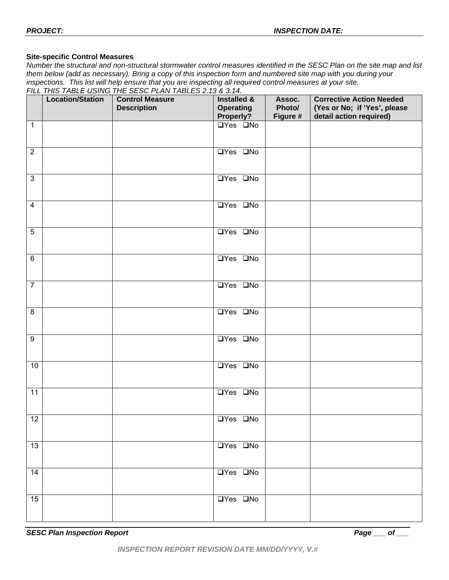# **Site-specific Control Measures**

*Number the structural and non-structural stormwater control measures identified in the SESC Plan on the site map and list them below (add as necessary). Bring a copy of this inspection form and numbered site map with you during your inspections. This list will help ensure that you are inspecting all required control measures at your site.* 

|                     | FILL THIS TABLE USING THE SESC PLAN TABLES 2.13 & 3.14. |                                              |                                              |                              |                                                                                            |
|---------------------|---------------------------------------------------------|----------------------------------------------|----------------------------------------------|------------------------------|--------------------------------------------------------------------------------------------|
|                     | <b>Location/Station</b>                                 | <b>Control Measure</b><br><b>Description</b> | Installed &<br><b>Operating</b><br>Properly? | Assoc.<br>Photo/<br>Figure # | <b>Corrective Action Needed</b><br>(Yes or No; if 'Yes', please<br>detail action required) |
| $\mathbf{1}$        |                                                         |                                              | $\Box$ Yes $\Box$ No                         |                              |                                                                                            |
| $\overline{2}$      |                                                         |                                              | $\overline{UY}$ es $\overline{UNo}$          |                              |                                                                                            |
| $\overline{3}$      |                                                         |                                              | $\overline{UY}$ es $\overline{UNo}$          |                              |                                                                                            |
| $\overline{4}$      |                                                         |                                              | $\overline{UY}$ es $\overline{UNo}$          |                              |                                                                                            |
| $\overline{5}$      |                                                         |                                              | $\overline{UY}$ es $\overline{UNo}$          |                              |                                                                                            |
| $\overline{6}$      |                                                         |                                              | $\overline{UY}$ es $\overline{UNo}$          |                              |                                                                                            |
| $\overline{7}$      |                                                         |                                              | $\overline{UY}$ es $\overline{UNo}$          |                              |                                                                                            |
| $\overline{\infty}$ |                                                         |                                              | $\overline{UY}$ es $\overline{QN}$ o         |                              |                                                                                            |
| $\overline{9}$      |                                                         |                                              | $\overline{UY}$ es $\overline{UNo}$          |                              |                                                                                            |
| 10                  |                                                         |                                              | $\overline{UY}$ es $\overline{UNo}$          |                              |                                                                                            |
| 11                  |                                                         |                                              | $\overline{UY}$ es $\overline{UNo}$          |                              |                                                                                            |
| 12                  |                                                         |                                              | $\Box$ Yes $\Box$ No                         |                              |                                                                                            |
| $\overline{13}$     |                                                         |                                              | $\overline{UY}$ es $\overline{QN}$ o         |                              |                                                                                            |
| 14                  |                                                         |                                              | $\overline{UY}$ es $\overline{QN}$ o         |                              |                                                                                            |
| 15                  |                                                         |                                              | <b>OYes ONO</b>                              |                              |                                                                                            |
|                     |                                                         |                                              |                                              |                              |                                                                                            |

**SESC Plan Inspection Report Page Access Page Access Page Access Page Access Page Access Page Access Page Access**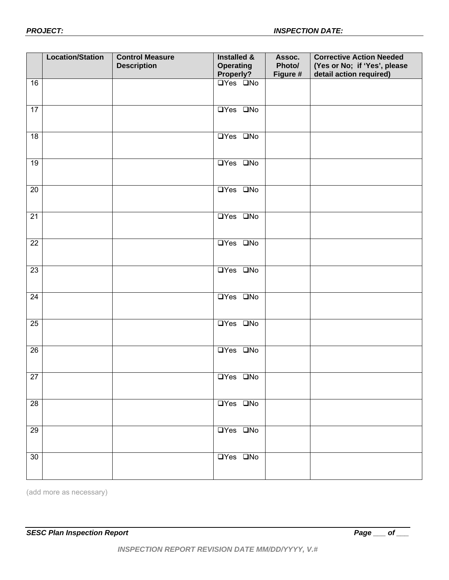|                 | <b>Location/Station</b> | <b>Control Measure</b><br><b>Description</b> | <b>Installed &amp;</b><br><b>Operating</b><br>Properly? | Assoc.<br>Photo/<br>Figure # | <b>Corrective Action Needed</b><br>(Yes or No; if 'Yes', please<br>detail action required) |
|-----------------|-------------------------|----------------------------------------------|---------------------------------------------------------|------------------------------|--------------------------------------------------------------------------------------------|
| 16              |                         |                                              | <b>OYes ONO</b>                                         |                              |                                                                                            |
| 17              |                         |                                              | $\overline{UY}$ es $\overline{UNo}$                     |                              |                                                                                            |
| 18              |                         |                                              | $\overline{UY}$ es $\overline{QN}$ o                    |                              |                                                                                            |
| 19              |                         |                                              | $\overline{UY}$ es $\overline{UNo}$                     |                              |                                                                                            |
| 20              |                         |                                              | $\overline{UY}$ es $\overline{UNo}$                     |                              |                                                                                            |
| 21              |                         |                                              | <b>OYes ONO</b>                                         |                              |                                                                                            |
| $\overline{22}$ |                         |                                              | <b>OYes ONO</b>                                         |                              |                                                                                            |
| $\overline{23}$ |                         |                                              | $\overline{UY}$ es $\overline{QN}$ o                    |                              |                                                                                            |
| $\overline{24}$ |                         |                                              | $\overline{UY}$ es $\overline{QN}$ o                    |                              |                                                                                            |
| 25              |                         |                                              | $\overline{UY}$ es $\overline{QN}$ o                    |                              |                                                                                            |
| 26              |                         |                                              | $\overline{UY}$ es $\overline{QN}$ o                    |                              |                                                                                            |
| 27              |                         |                                              | <b>OYes ONo</b>                                         |                              |                                                                                            |
| $\overline{28}$ |                         |                                              | <b>OYes ONo</b>                                         |                              |                                                                                            |
| 29              |                         |                                              | <b>OYes ONo</b>                                         |                              |                                                                                            |
| 30              |                         |                                              | <b>OYes ONO</b>                                         |                              |                                                                                            |

(add more as necessary)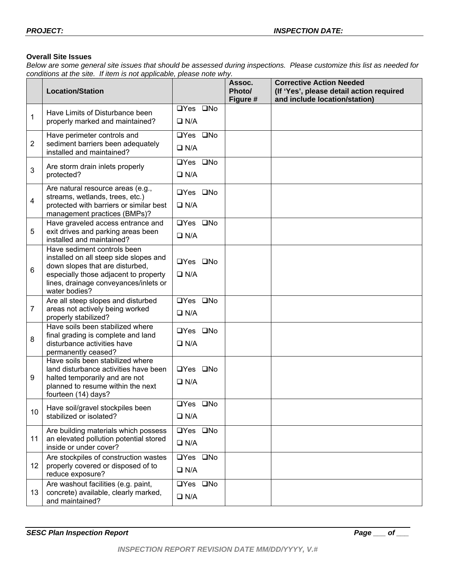# **Overall Site Issues**

*Below are some general site issues that should be assessed during inspections. Please customize this list as needed for conditions at the site. If item is not applicable, please note why.* 

|                | $\frac{1}{2}$<br><b>Location/Station</b>                                                                                                                                                                    |                                    | Assoc.<br>Photo/<br>Figure # | <b>Corrective Action Needed</b><br>(If 'Yes', please detail action required<br>and include location/station) |
|----------------|-------------------------------------------------------------------------------------------------------------------------------------------------------------------------------------------------------------|------------------------------------|------------------------------|--------------------------------------------------------------------------------------------------------------|
| 1              | Have Limits of Disturbance been<br>properly marked and maintained?                                                                                                                                          | □Yes □No<br>$\Box$ N/A             |                              |                                                                                                              |
| $\overline{2}$ | Have perimeter controls and<br>sediment barriers been adequately<br>installed and maintained?                                                                                                               | □Yes □No<br>$\Box$ N/A             |                              |                                                                                                              |
| 3              | Are storm drain inlets properly<br>protected?                                                                                                                                                               | □Yes □No<br>$\Box$ N/A             |                              |                                                                                                              |
| 4              | Are natural resource areas (e.g.,<br>streams, wetlands, trees, etc.)<br>protected with barriers or similar best<br>management practices (BMPs)?                                                             | □Yes □No<br>$\Box$ N/A             |                              |                                                                                                              |
| 5              | Have graveled access entrance and<br>exit drives and parking areas been<br>installed and maintained?                                                                                                        | □Yes □No<br>$\Box$ N/A             |                              |                                                                                                              |
| 6              | Have sediment controls been<br>installed on all steep side slopes and<br>down slopes that are disturbed,<br>especially those adjacent to property<br>lines, drainage conveyances/inlets or<br>water bodies? | $\Box$ Yes $\Box$ No<br>$\Box$ N/A |                              |                                                                                                              |
| 7              | Are all steep slopes and disturbed<br>areas not actively being worked<br>properly stabilized?                                                                                                               | □Yes □No<br>$\Box$ N/A             |                              |                                                                                                              |
| 8              | Have soils been stabilized where<br>final grading is complete and land<br>disturbance activities have<br>permanently ceased?                                                                                | □Yes □No<br>$\Box$ N/A             |                              |                                                                                                              |
| 9              | Have soils been stabilized where<br>land disturbance activities have been<br>halted temporarily and are not<br>planned to resume within the next<br>fourteen (14) days?                                     | □Yes □No<br>$\Box$ N/A             |                              |                                                                                                              |
| 10             | Have soil/gravel stockpiles been<br>stabilized or isolated?                                                                                                                                                 | □Yes □No<br>$\Box$ N/A             |                              |                                                                                                              |
| 11             | Are building materials which possess<br>an elevated pollution potential stored<br>inside or under cover?                                                                                                    | □Yes □No<br>$\Box$ N/A             |                              |                                                                                                              |
| 12             | Are stockpiles of construction wastes<br>properly covered or disposed of to<br>reduce exposure?                                                                                                             | □Yes □No<br>$\Box$ N/A             |                              |                                                                                                              |
| 13             | Are washout facilities (e.g. paint,<br>concrete) available, clearly marked,<br>and maintained?                                                                                                              | □Yes □No<br>$\Box$ N/A             |                              |                                                                                                              |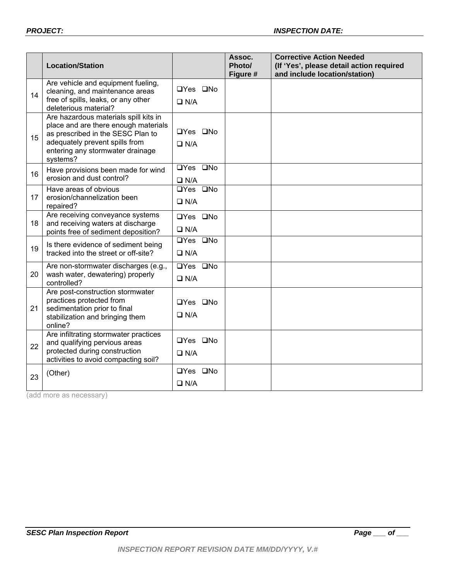|    | <b>Location/Station</b>                                                                                                                                                                              |                                                   | Assoc.<br>Photo/<br>Figure # | <b>Corrective Action Needed</b><br>(If 'Yes', please detail action required<br>and include location/station) |
|----|------------------------------------------------------------------------------------------------------------------------------------------------------------------------------------------------------|---------------------------------------------------|------------------------------|--------------------------------------------------------------------------------------------------------------|
| 14 | Are vehicle and equipment fueling,<br>cleaning, and maintenance areas<br>free of spills, leaks, or any other<br>deleterious material?                                                                | □Yes □No<br>$\Box$ N/A                            |                              |                                                                                                              |
| 15 | Are hazardous materials spill kits in<br>place and are there enough materials<br>as prescribed in the SESC Plan to<br>adequately prevent spills from<br>entering any stormwater drainage<br>systems? | □Yes □No<br>$\Box$ N/A                            |                              |                                                                                                              |
| 16 | Have provisions been made for wind<br>erosion and dust control?                                                                                                                                      | □Yes □No<br>$\Box$ N/A                            |                              |                                                                                                              |
| 17 | Have areas of obvious<br>erosion/channelization been<br>repaired?                                                                                                                                    | $\overline{UY}$ es $\overline{UNo}$<br>$\Box$ N/A |                              |                                                                                                              |
| 18 | Are receiving conveyance systems<br>and receiving waters at discharge<br>points free of sediment deposition?                                                                                         | □Yes □No<br>$\Box$ N/A                            |                              |                                                                                                              |
| 19 | Is there evidence of sediment being<br>tracked into the street or off-site?                                                                                                                          | $\overline{UY}$ es $\overline{UNo}$<br>$\Box$ N/A |                              |                                                                                                              |
| 20 | Are non-stormwater discharges (e.g.,<br>wash water, dewatering) properly<br>controlled?                                                                                                              | □Yes □No<br>$\Box$ N/A                            |                              |                                                                                                              |
| 21 | Are post-construction stormwater<br>practices protected from<br>sedimentation prior to final<br>stabilization and bringing them<br>online?                                                           | $\Box$ Yes $\Box$ No<br>$\Box$ N/A                |                              |                                                                                                              |
| 22 | Are infiltrating stormwater practices<br>and qualifying pervious areas<br>protected during construction<br>activities to avoid compacting soil?                                                      | $\Box$ Yes $\Box$ No<br>$\Box$ N/A                |                              |                                                                                                              |
| 23 | (Other)                                                                                                                                                                                              | □Yes □No<br>$\Box$ N/A                            |                              |                                                                                                              |

(add more as necessary)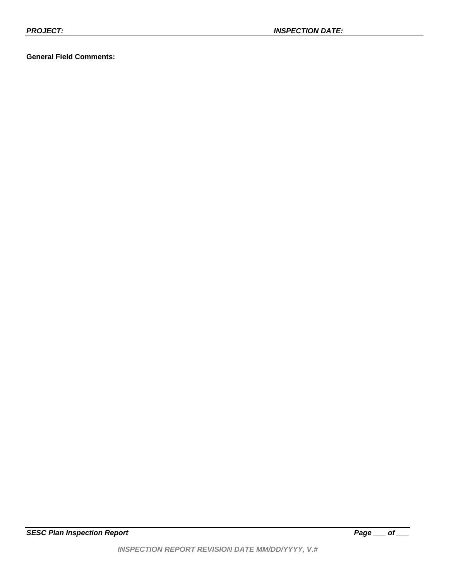# **General Field Comments:**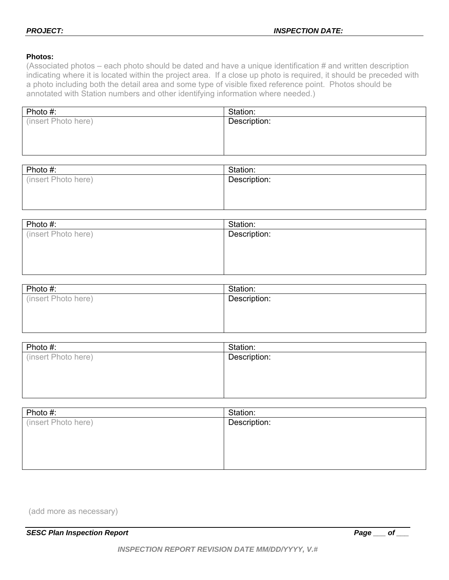# **Photos:**

(Associated photos – each photo should be dated and have a unique identification # and written description indicating where it is located within the project area. If a close up photo is required, it should be preceded with a photo including both the detail area and some type of visible fixed reference point. Photos should be annotated with Station numbers and other identifying information where needed.)

| Photo #:            | Station:     |
|---------------------|--------------|
| (insert Photo here) | Description: |
|                     |              |
|                     |              |
|                     |              |

| Photo #:            | Station:     |
|---------------------|--------------|
| (insert Photo here) | Description: |
|                     |              |
|                     |              |

| Photo #:            | Station:     |
|---------------------|--------------|
| (insert Photo here) | Description: |
|                     |              |
|                     |              |
|                     |              |
|                     |              |

| Photo #:            | Station:     |
|---------------------|--------------|
| (insert Photo here) | Description: |
|                     |              |
|                     |              |
|                     |              |

| Photo #:            | Station:     |
|---------------------|--------------|
| (insert Photo here) | Description: |
|                     |              |
|                     |              |
|                     |              |
|                     |              |

(add more as necessary)

**SESC Plan Inspection Report** Page 2015 **Page 2016**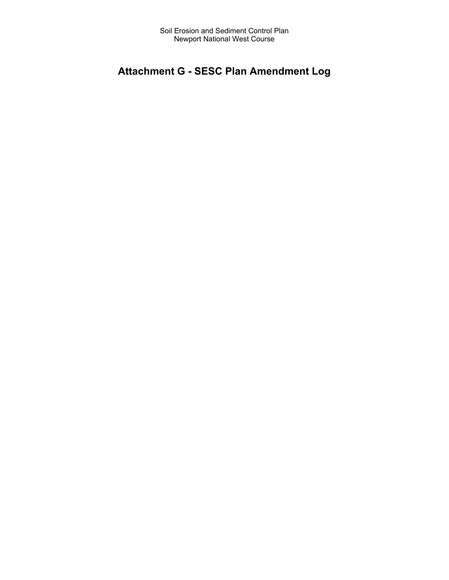# **Attachment G - SESC Plan Amendment Log**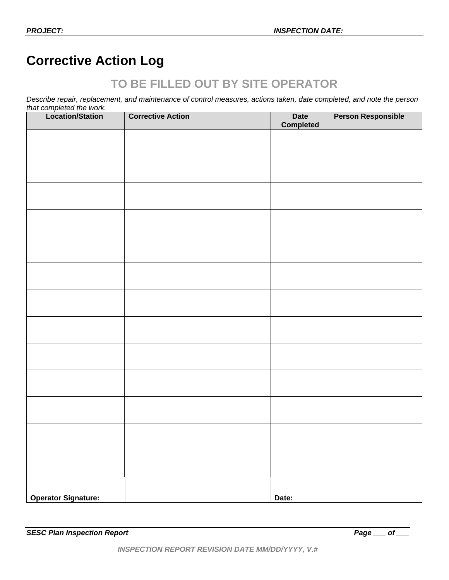# **Corrective Action Log**

# **TO BE FILLED OUT BY SITE OPERATOR**

*Describe repair, replacement, and maintenance of control measures, actions taken, date completed, and note the person that completed the work.* 

|                            | Location/Station | <b>Corrective Action</b> | <b>Date</b><br><b>Completed</b> | <b>Person Responsible</b> |
|----------------------------|------------------|--------------------------|---------------------------------|---------------------------|
|                            |                  |                          |                                 |                           |
|                            |                  |                          |                                 |                           |
|                            |                  |                          |                                 |                           |
|                            |                  |                          |                                 |                           |
|                            |                  |                          |                                 |                           |
|                            |                  |                          |                                 |                           |
|                            |                  |                          |                                 |                           |
|                            |                  |                          |                                 |                           |
|                            |                  |                          |                                 |                           |
|                            |                  |                          |                                 |                           |
|                            |                  |                          |                                 |                           |
|                            |                  |                          |                                 |                           |
|                            |                  |                          |                                 |                           |
|                            |                  |                          |                                 |                           |
|                            |                  |                          |                                 |                           |
|                            |                  |                          |                                 |                           |
|                            |                  |                          |                                 |                           |
|                            |                  |                          |                                 |                           |
| <b>Operator Signature:</b> |                  |                          | Date:                           |                           |